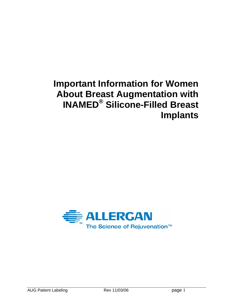# **Important Information for Women About Breast Augmentation with INAMED® Silicone-Filled Breast Implants**

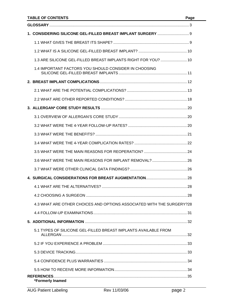| 1. CONSIDERING SILICONE GEL-FILLED BREAST IMPLANT SURGERY  9          |
|-----------------------------------------------------------------------|
|                                                                       |
|                                                                       |
| 1.3 ARE SILICONE GEL-FILLED BREAST IMPLANTS RIGHT FOR YOU?  10        |
| 1.4 IMPORTANT FACTORS YOU SHOULD CONSIDER IN CHOOSING                 |
|                                                                       |
|                                                                       |
|                                                                       |
|                                                                       |
|                                                                       |
|                                                                       |
|                                                                       |
|                                                                       |
|                                                                       |
| 3.6 WHAT WERE THE MAIN REASONS FOR IMPLANT REMOVAL?  26               |
|                                                                       |
|                                                                       |
|                                                                       |
|                                                                       |
| 4.3 WHAT ARE OTHER CHOICES AND OPTIONS ASSOCIATED WITH THE SURGERY?28 |
|                                                                       |
|                                                                       |
| 5.1 TYPES OF SILICONE GEL-FILLED BREAST IMPLANTS AVAILABLE FROM       |
|                                                                       |
|                                                                       |
|                                                                       |
|                                                                       |
| *Formerly Inamed                                                      |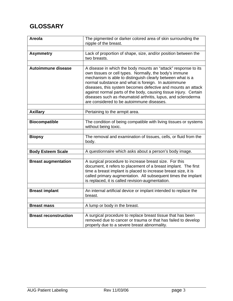# **GLOSSARY**

| <b>Areola</b>                | The pigmented or darker colored area of skin surrounding the<br>nipple of the breast.                                                                                                                                                                                                                                                                                                                                                                                                           |
|------------------------------|-------------------------------------------------------------------------------------------------------------------------------------------------------------------------------------------------------------------------------------------------------------------------------------------------------------------------------------------------------------------------------------------------------------------------------------------------------------------------------------------------|
|                              |                                                                                                                                                                                                                                                                                                                                                                                                                                                                                                 |
| <b>Asymmetry</b>             | Lack of proportion of shape, size, and/or position between the<br>two breasts.                                                                                                                                                                                                                                                                                                                                                                                                                  |
|                              |                                                                                                                                                                                                                                                                                                                                                                                                                                                                                                 |
| <b>Autoimmune disease</b>    | A disease in which the body mounts an "attack" response to its<br>own tissues or cell types. Normally, the body's immune<br>mechanism is able to distinguish clearly between what is a<br>normal substance and what is foreign. In autoimmune<br>diseases, this system becomes defective and mounts an attack<br>against normal parts of the body, causing tissue injury. Certain<br>diseases such as rheumatoid arthritis, lupus, and scleroderma<br>are considered to be autoimmune diseases. |
|                              |                                                                                                                                                                                                                                                                                                                                                                                                                                                                                                 |
| <b>Axillary</b>              | Pertaining to the armpit area.                                                                                                                                                                                                                                                                                                                                                                                                                                                                  |
|                              |                                                                                                                                                                                                                                                                                                                                                                                                                                                                                                 |
| <b>Biocompatible</b>         | The condition of being compatible with living tissues or systems<br>without being toxic.                                                                                                                                                                                                                                                                                                                                                                                                        |
|                              |                                                                                                                                                                                                                                                                                                                                                                                                                                                                                                 |
| <b>Biopsy</b>                | The removal and examination of tissues, cells, or fluid from the<br>body.                                                                                                                                                                                                                                                                                                                                                                                                                       |
|                              |                                                                                                                                                                                                                                                                                                                                                                                                                                                                                                 |
| <b>Body Esteem Scale</b>     | A questionnaire which asks about a person's body image.                                                                                                                                                                                                                                                                                                                                                                                                                                         |
| <b>Breast augmentation</b>   | A surgical procedure to increase breast size. For this<br>document, it refers to placement of a breast implant. The first<br>time a breast implant is placed to increase breast size, it is<br>called primary augmentation. All subsequent times the implant<br>is replaced, it is called revision-augmentation.                                                                                                                                                                                |
|                              |                                                                                                                                                                                                                                                                                                                                                                                                                                                                                                 |
| <b>Breast implant</b>        | An internal artificial device or implant intended to replace the<br>breast.                                                                                                                                                                                                                                                                                                                                                                                                                     |
|                              |                                                                                                                                                                                                                                                                                                                                                                                                                                                                                                 |
| <b>Breast mass</b>           | A lump or body in the breast.                                                                                                                                                                                                                                                                                                                                                                                                                                                                   |
|                              |                                                                                                                                                                                                                                                                                                                                                                                                                                                                                                 |
| <b>Breast reconstruction</b> | A surgical procedure to replace breast tissue that has been<br>removed due to cancer or trauma or that has failed to develop<br>properly due to a severe breast abnormality.                                                                                                                                                                                                                                                                                                                    |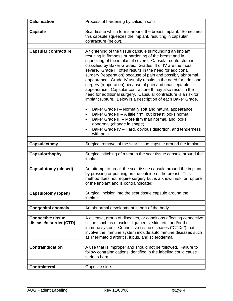| <b>Calcification</b>                               | Process of hardening by calcium salts.                                                                                                                                                                                                                                                                                                                                                                                                                                                                                                                                                                                                                                                                                                                                                                                                                                                |
|----------------------------------------------------|---------------------------------------------------------------------------------------------------------------------------------------------------------------------------------------------------------------------------------------------------------------------------------------------------------------------------------------------------------------------------------------------------------------------------------------------------------------------------------------------------------------------------------------------------------------------------------------------------------------------------------------------------------------------------------------------------------------------------------------------------------------------------------------------------------------------------------------------------------------------------------------|
|                                                    |                                                                                                                                                                                                                                                                                                                                                                                                                                                                                                                                                                                                                                                                                                                                                                                                                                                                                       |
| <b>Capsule</b>                                     | Scar tissue which forms around the breast implant. Sometimes<br>this capsule squeezes the implant, resulting in capsular<br>contracture (below).                                                                                                                                                                                                                                                                                                                                                                                                                                                                                                                                                                                                                                                                                                                                      |
|                                                    |                                                                                                                                                                                                                                                                                                                                                                                                                                                                                                                                                                                                                                                                                                                                                                                                                                                                                       |
| <b>Capsular contracture</b>                        | A tightening of the tissue capsule surrounding an implant,<br>resulting in firmness or hardening of the breast and in<br>squeezing of the implant if severe. Capsular contracture is<br>classified by Baker Grades. Grades III or IV are the most<br>severe. Grade III often results in the need for additional<br>surgery (reoperation) because of pain and possibly abnormal<br>appearance. Grade IV usually results in the need for additional<br>surgery (reoperation) because of pain and unacceptable<br>appearance. Capsular contracture II may also result in the<br>need for additional surgery. Capsular contracture is a risk for<br>implant rupture. Below is a description of each Baker Grade.<br>Baker Grade I - Normally soft and natural appearance<br>Baker Grade II - A little firm, but breast looks normal<br>Baker Grade III - More firm than normal, and looks |
|                                                    | abnormal (change in shape)<br>Baker Grade IV - Hard, obvious distortion, and tenderness<br>with pain                                                                                                                                                                                                                                                                                                                                                                                                                                                                                                                                                                                                                                                                                                                                                                                  |
| <b>Capsulectomy</b>                                | Surgical removal of the scar tissue capsule around the implant.                                                                                                                                                                                                                                                                                                                                                                                                                                                                                                                                                                                                                                                                                                                                                                                                                       |
| Capsulorrhaphy                                     | Surgical stitching of a tear in the scar tissue capsule around the<br>implant.                                                                                                                                                                                                                                                                                                                                                                                                                                                                                                                                                                                                                                                                                                                                                                                                        |
| <b>Capsulotomy (closed)</b>                        | An attempt to break the scar tissue capsule around the implant<br>by pressing or pushing on the outside of the breast. This<br>method does not require surgery but is a known risk for rupture                                                                                                                                                                                                                                                                                                                                                                                                                                                                                                                                                                                                                                                                                        |
|                                                    | of the implant and is contraindicated.                                                                                                                                                                                                                                                                                                                                                                                                                                                                                                                                                                                                                                                                                                                                                                                                                                                |
| <b>Capsulotomy (open)</b>                          | Surgical incision into the scar tissue capsule around the<br>implant.                                                                                                                                                                                                                                                                                                                                                                                                                                                                                                                                                                                                                                                                                                                                                                                                                 |
| <b>Congenital anomaly</b>                          | An abnormal development in part of the body.                                                                                                                                                                                                                                                                                                                                                                                                                                                                                                                                                                                                                                                                                                                                                                                                                                          |
|                                                    |                                                                                                                                                                                                                                                                                                                                                                                                                                                                                                                                                                                                                                                                                                                                                                                                                                                                                       |
| <b>Connective tissue</b><br>disease/disorder (CTD) | A disease, group of diseases, or conditions affecting connective<br>tissue, such as muscles, ligaments, skin, etc. and/or the<br>immune system. Connective tissue diseases ("CTDs") that<br>involve the immune system include autoimmune diseases such<br>as rheumatoid arthritis, lupus, and scleroderma.                                                                                                                                                                                                                                                                                                                                                                                                                                                                                                                                                                            |
| <b>Contraindication</b>                            | A use that is improper and should not be followed. Failure to<br>follow contraindications identified in the labeling could cause<br>serious harm.                                                                                                                                                                                                                                                                                                                                                                                                                                                                                                                                                                                                                                                                                                                                     |
| <b>Contralateral</b>                               | Opposite side.                                                                                                                                                                                                                                                                                                                                                                                                                                                                                                                                                                                                                                                                                                                                                                                                                                                                        |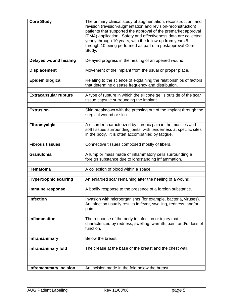| <b>Core Study</b>            | The primary clinical study of augmentation, reconstruction, and                                                                |
|------------------------------|--------------------------------------------------------------------------------------------------------------------------------|
|                              | revision (revision-augmentation and revision-reconstruction)<br>patients that supported the approval of the premarket approval |
|                              | (PMA) application. Safety and effectiveness data are collected                                                                 |
|                              | yearly through 10 years, with the follow-up from years 5                                                                       |
|                              | through 10 being performed as part of a postapproval Core<br>Study.                                                            |
|                              |                                                                                                                                |
| <b>Delayed wound healing</b> | Delayed progress in the healing of an opened wound.                                                                            |
| <b>Displacement</b>          | Movement of the implant from the usual or proper place.                                                                        |
|                              |                                                                                                                                |
| Epidemiological              | Relating to the science of explaining the relationships of factors<br>that determine disease frequency and distribution.       |
|                              | A type of rupture in which the silicone gel is outside of the scar                                                             |
| <b>Extracapsular rupture</b> | tissue capsule surrounding the implant.                                                                                        |
| <b>Extrusion</b>             | Skin breakdown with the pressing out of the implant through the                                                                |
|                              | surgical wound or skin.                                                                                                        |
|                              |                                                                                                                                |
| Fibromyalgia                 | A disorder characterized by chronic pain in the muscles and                                                                    |
|                              | soft tissues surrounding joints, with tenderness at specific sites<br>in the body. It is often accompanied by fatigue.         |
|                              |                                                                                                                                |
| <b>Fibrous tissues</b>       | Connective tissues composed mostly of fibers.                                                                                  |
|                              |                                                                                                                                |
| Granuloma                    | A lump or mass made of inflammatory cells surrounding a<br>foreign substance due to longstanding inflammation.                 |
|                              |                                                                                                                                |
| <b>Hematoma</b>              | A collection of blood within a space.                                                                                          |
|                              |                                                                                                                                |
| <b>Hypertrophic scarring</b> | An enlarged scar remaining after the healing of a wound.                                                                       |
| Immune response              | A bodily response to the presence of a foreign substance.                                                                      |
|                              |                                                                                                                                |
| <b>Infection</b>             | Invasion with microorganisms (for example, bacteria, viruses).                                                                 |
|                              | An infection usually results in fever, swelling, redness, and/or<br>pain.                                                      |
|                              |                                                                                                                                |
| <b>Inflammation</b>          | The response of the body to infection or injury that is                                                                        |
|                              | characterized by redness, swelling, warmth, pain, and/or loss of                                                               |
|                              | function.                                                                                                                      |
| <b>Inframammary</b>          | Below the breast.                                                                                                              |
|                              |                                                                                                                                |
| Inframammary fold            | The crease at the base of the breast and the chest wall.                                                                       |
|                              |                                                                                                                                |
| <b>Inframammary incision</b> | An incision made in the fold below the breast.                                                                                 |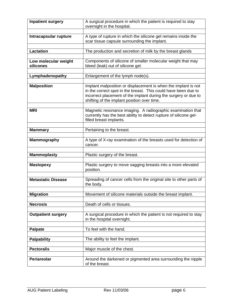| <b>Inpatient surgery</b>          | A surgical procedure in which the patient is required to stay<br>overnight in the hospital.                                                                                                                                                        |  |
|-----------------------------------|----------------------------------------------------------------------------------------------------------------------------------------------------------------------------------------------------------------------------------------------------|--|
|                                   |                                                                                                                                                                                                                                                    |  |
| Intracapsular rupture             | A type of rupture in which the silicone gel remains inside the<br>scar tissue capsule surrounding the implant.                                                                                                                                     |  |
|                                   |                                                                                                                                                                                                                                                    |  |
| <b>Lactation</b>                  | The production and secretion of milk by the breast glands                                                                                                                                                                                          |  |
| Low molecular weight<br>silicones | Components of silicone of smaller molecular weight that may<br>bleed (leak) out of silicone gel.                                                                                                                                                   |  |
| Lymphadenopathy                   | Enlargement of the lymph node(s).                                                                                                                                                                                                                  |  |
| <b>Malposition</b>                | Implant malposition or displacement is when the implant is not<br>in the correct spot in the breast. This could have been due to<br>incorrect placement of the implant during the surgery or due to<br>shifting of the implant position over time. |  |
| <b>MRI</b>                        | Magnetic resonance imaging. A radiographic examination that<br>currently has the best ability to detect rupture of silicone gel-<br>filled breast implants.                                                                                        |  |
| <b>Mammary</b>                    | Pertaining to the breast.                                                                                                                                                                                                                          |  |
| <b>Mammography</b>                | A type of X-ray examination of the breasts used for detection of<br>cancer.                                                                                                                                                                        |  |
|                                   |                                                                                                                                                                                                                                                    |  |
| <b>Mammoplasty</b>                | Plastic surgery of the breast.                                                                                                                                                                                                                     |  |
| <b>Mastopexy</b>                  | Plastic surgery to move sagging breasts into a more elevated<br>position.                                                                                                                                                                          |  |
| <b>Metastatic Disease</b>         | Spreading of cancer cells from the original site to other parts of<br>the body.                                                                                                                                                                    |  |
| <b>Migration</b>                  | Movement of silicone materials outside the breast implant.                                                                                                                                                                                         |  |
| <b>Necrosis</b>                   | Death of cells or tissues.                                                                                                                                                                                                                         |  |
| <b>Outpatient surgery</b>         | A surgical procedure in which the patient is not required to stay<br>in the hospital overnight.                                                                                                                                                    |  |
| <b>Palpate</b>                    | To feel with the hand.                                                                                                                                                                                                                             |  |
|                                   |                                                                                                                                                                                                                                                    |  |
| <b>Palpability</b>                | The ability to feel the implant.                                                                                                                                                                                                                   |  |
| <b>Pectoralis</b>                 | Major muscle of the chest.                                                                                                                                                                                                                         |  |
| Periareolar                       | Around the darkened or pigmented area surrounding the nipple<br>of the breast.                                                                                                                                                                     |  |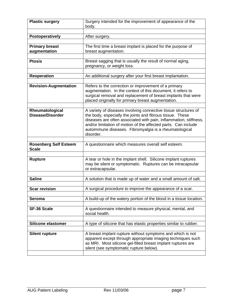| <b>Plastic surgery</b>                       | Surgery intended for the improvement of appearance of the<br>body.                                                                                                                                                                                                                                                                         |  |
|----------------------------------------------|--------------------------------------------------------------------------------------------------------------------------------------------------------------------------------------------------------------------------------------------------------------------------------------------------------------------------------------------|--|
|                                              |                                                                                                                                                                                                                                                                                                                                            |  |
| Postoperatively                              | After surgery.                                                                                                                                                                                                                                                                                                                             |  |
|                                              |                                                                                                                                                                                                                                                                                                                                            |  |
| <b>Primary breast</b>                        | The first time a breast implant is placed for the purpose of                                                                                                                                                                                                                                                                               |  |
| augmentation                                 | breast augmentation.                                                                                                                                                                                                                                                                                                                       |  |
|                                              |                                                                                                                                                                                                                                                                                                                                            |  |
| <b>Ptosis</b>                                | Breast sagging that is usually the result of normal aging,<br>pregnancy, or weight loss.                                                                                                                                                                                                                                                   |  |
|                                              |                                                                                                                                                                                                                                                                                                                                            |  |
| <b>Reoperation</b>                           | An additional surgery after your first breast implantation.                                                                                                                                                                                                                                                                                |  |
| <b>Revision-Augmentation</b>                 | Refers to the correction or improvement of a primary                                                                                                                                                                                                                                                                                       |  |
|                                              | augmentation. In the context of this document, it refers to<br>surgical removal and replacement of breast implants that were<br>placed originally for primary breast augmentation.                                                                                                                                                         |  |
|                                              |                                                                                                                                                                                                                                                                                                                                            |  |
| Rheumatological<br><b>Disease/Disorder</b>   | A variety of diseases involving connective tissue structures of<br>the body, especially the joints and fibrous tissue. These<br>diseases are often associated with pain, inflammation, stiffness,<br>and/or limitation of motion of the affected parts. Can include<br>autoimmune diseases. Fibromyalgia is a rheumatological<br>disorder. |  |
|                                              |                                                                                                                                                                                                                                                                                                                                            |  |
| <b>Rosenberg Self Esteem</b><br><b>Scale</b> | A questionnaire which measures overall self esteem.                                                                                                                                                                                                                                                                                        |  |
|                                              |                                                                                                                                                                                                                                                                                                                                            |  |
| <b>Rupture</b>                               | A tear or hole in the implant shell. Silicone implant ruptures<br>may be silent or symptomatic. Ruptures can be intracapsular<br>or extracapsular.                                                                                                                                                                                         |  |
|                                              |                                                                                                                                                                                                                                                                                                                                            |  |
| <b>Saline</b>                                | A solution that is made up of water and a small amount of salt.                                                                                                                                                                                                                                                                            |  |
| <b>Scar revision</b>                         | A surgical procedure to improve the appearance of a scar.                                                                                                                                                                                                                                                                                  |  |
|                                              |                                                                                                                                                                                                                                                                                                                                            |  |
| <b>Seroma</b>                                | A build-up of the watery portion of the blood in a tissue location.                                                                                                                                                                                                                                                                        |  |
|                                              |                                                                                                                                                                                                                                                                                                                                            |  |
| <b>SF-36 Scale</b>                           | A questionnaire intended to measure physical, mental, and<br>social health.                                                                                                                                                                                                                                                                |  |
|                                              |                                                                                                                                                                                                                                                                                                                                            |  |
| Silicone elastomer                           | A type of silicone that has elastic properties similar to rubber.                                                                                                                                                                                                                                                                          |  |
|                                              |                                                                                                                                                                                                                                                                                                                                            |  |
| <b>Silent rupture</b>                        | A breast implant rupture without symptoms and which is not<br>apparent except through appropriate imaging techniques such<br>as MRI. Most silicone gel-filled breast implant ruptures are<br>silent (see symptomatic rupture below).                                                                                                       |  |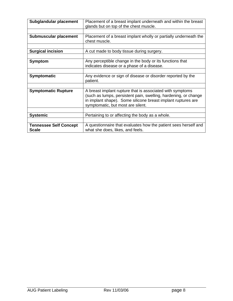| Subglandular placement                        | Placement of a breast implant underneath and within the breast<br>glands but on top of the chest muscle.                                                                                                                          |
|-----------------------------------------------|-----------------------------------------------------------------------------------------------------------------------------------------------------------------------------------------------------------------------------------|
|                                               |                                                                                                                                                                                                                                   |
| Submuscular placement                         | Placement of a breast implant wholly or partially underneath the<br>chest muscle.                                                                                                                                                 |
|                                               |                                                                                                                                                                                                                                   |
| <b>Surgical incision</b>                      | A cut made to body tissue during surgery.                                                                                                                                                                                         |
|                                               |                                                                                                                                                                                                                                   |
| <b>Symptom</b>                                | Any perceptible change in the body or its functions that<br>indicates disease or a phase of a disease.                                                                                                                            |
|                                               |                                                                                                                                                                                                                                   |
| <b>Symptomatic</b>                            | Any evidence or sign of disease or disorder reported by the<br>patient.                                                                                                                                                           |
|                                               |                                                                                                                                                                                                                                   |
| <b>Symptomatic Rupture</b>                    | A breast implant rupture that is associated with symptoms<br>(such as lumps, persistent pain, swelling, hardening, or change<br>in implant shape). Some silicone breast implant ruptures are<br>symptomatic, but most are silent. |
|                                               |                                                                                                                                                                                                                                   |
| <b>Systemic</b>                               | Pertaining to or affecting the body as a whole.                                                                                                                                                                                   |
|                                               |                                                                                                                                                                                                                                   |
| <b>Tennessee Self Concept</b><br><b>Scale</b> | A questionnaire that evaluates how the patient sees herself and<br>what she does, likes, and feels.                                                                                                                               |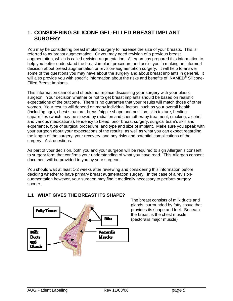### **1. CONSIDERING SILICONE GEL-FILLED BREAST IMPLANT SURGERY**

You may be considering breast implant surgery to increase the size of your breasts. This is referred to as breast augmentation. Or you may need revision of a previous breast augmentation, which is called revision-augmentation. Allergan has prepared this information to help you better understand the breast implant procedure and assist you in making an informed decision about breast augmentation or revision-augmentation surgery. It will help to answer some of the questions you may have about the surgery and about breast implants in general. It will also provide you with specific information about the risks and benefits of INAMED<sup>®</sup> Silicone-Filled Breast Implants.

This information cannot and should not replace discussing your surgery with your plastic surgeon. Your decision whether or not to get breast implants should be based on realistic expectations of the outcome. There is no guarantee that your results will match those of other women. Your results will depend on many individual factors, such as your overall health (including age), chest structure, breast/nipple shape and position, skin texture, healing capabilities (which may be slowed by radiation and chemotherapy treatment, smoking, alcohol, and various medications), tendency to bleed, prior breast surgery, surgical team's skill and experience, type of surgical procedure, and type and size of implant. Make sure you speak with your surgeon about your expectations of the results, as well as what you can expect regarding the length of the surgery, your recovery, and any risks and potential complications of the surgery. Ask questions.

As part of your decision, both you and your surgeon will be required to sign Allergan's consent to surgery form that confirms your understanding of what you have read. This Allergan consent document will be provided to you by your surgeon.

You should wait at least 1-2 weeks after reviewing and considering this information before deciding whether to have primary breast augmentation surgery. In the case of a revisionaugmentation however, your surgeon may find it medically necessary to perform surgery sooner.

### **1.1 WHAT GIVES THE BREAST ITS SHAPE?**



The breast consists of milk ducts and glands, surrounded by fatty tissue that provides its shape and feel. Beneath the breast is the chest muscle (pectoralis major muscle)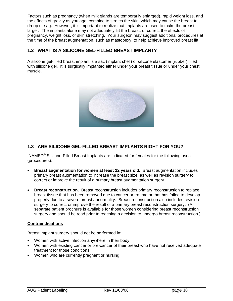Factors such as pregnancy (when milk glands are temporarily enlarged), rapid weight loss, and the effects of gravity as you age, combine to stretch the skin, which may cause the breast to droop or sag. However, it is important to realize that implants are used to make the breast larger. The implants alone may not adequately lift the breast, or correct the effects of pregnancy, weight loss, or skin stretching. Your surgeon may suggest additional procedures at the time of the breast augmentation, such as mastopexy, to help achieve improved breast lift.

### **1.2 WHAT IS A SILICONE GEL-FILLED BREAST IMPLANT?**

A silicone gel-filled breast implant is a sac (implant shell) of silicone elastomer (rubber) filled with silicone gel. It is surgically implanted either under your breast tissue or under your chest muscle.



### **1.3 ARE SILICONE GEL-FILLED BREAST IMPLANTS RIGHT FOR YOU?**

INAMED® Silicone-Filled Breast Implants are indicated for females for the following uses (procedures):

- **Breast augmentation for women at least 22 years old.** Breast augmentation includes primary breast augmentation to increase the breast size, as well as revision surgery to correct or improve the result of a primary breast augmentation surgery.
- **Breast reconstruction.** Breast reconstruction includes primary reconstruction to replace breast tissue that has been removed due to cancer or trauma or that has failed to develop properly due to a severe breast abnormality. Breast reconstruction also includes revision surgery to correct or improve the result of a primary breast reconstruction surgery. (A separate patient brochure is available for those women considering breast reconstruction surgery and should be read prior to reaching a decision to undergo breast reconstruction.)

### **Contraindications**

Breast implant surgery should not be performed in:

- Women with active infection anywhere in their body.
- Women with existing cancer or pre-cancer of their breast who have not received adequate treatment for those conditions.
- Women who are currently pregnant or nursing.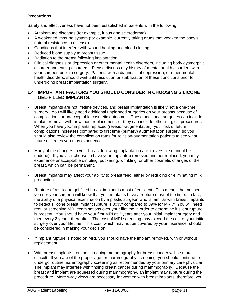### **Precautions**

Safety and effectiveness have not been established in patients with the following:

- Autoimmune diseases (for example, lupus and scleroderma).
- A weakened immune system (for example, currently taking drugs that weaken the body's natural resistance to disease).
- Conditions that interfere with wound healing and blood clotting.
- Reduced blood supply to breast tissue.
- Radiation to the breast following implantation.
- Clinical diagnosis of depression or other mental health disorders, including body dysmorphic disorder and eating disorders. Please discuss any history of mental health disorders with your surgeon prior to surgery. Patients with a diagnosis of depression, or other mental health disorders, should wait until resolution or stabilization of these conditions prior to undergoing breast implantation surgery.

### **1.4 IMPORTANT FACTORS YOU SHOULD CONSIDER IN CHOOSING SILICONE GEL-FILLED IMPLANTS.**

- Breast implants are not lifetime devices, and breast implantation is likely not a one-time surgery. You will likely need additional unplanned surgeries on your breasts because of complications or unacceptable cosmetic outcomes. These additional surgeries can include implant removal with or without replacement, or they can include other surgical procedures. When you have your implants replaced (revision-augmentation), your risk of future complications increases compared to first time (primary) augmentation surgery, so you should also review the complication rates for revision-augmentation patients to see what future risk rates you may experience.
- Many of the changes to your breast following implantation are irreversible (cannot be undone). If you later choose to have your implant(s) removed and not replaced, you may experience unacceptable dimpling, puckering, wrinkling, or other cosmetic changes of the breast, which can be permanent.
- Breast implants may affect your ability to breast feed, either by reducing or eliminating milk production.
- Rupture of a silicone gel-filled breast implant is most often silent. This means that neither you nor your surgeon will know that your implants have a rupture most of the time. In fact, the ability of a physical examination by a plastic surgeon who is familiar with breast implants to detect silicone breast implant rupture is  $30\%$ <sup>[1](#page-36-0)</sup> compared to 89% for MRI.<sup>[2](#page-36-1)</sup> You will need regular screening MRI examinations over your lifetime in order to determine if silent rupture is present. You should have your first MRI at 3 years after your initial implant surgery and then every 2 years, thereafter. The cost of MRI screening may exceed the cost of your initial surgery over your lifetime. This cost, which may not be covered by your insurance, should be considered in making your decision.
- If implant rupture is noted on MRI, you should have the implant removed, with or without replacement.
- With breast implants, routine screening mammography for breast cancer will be more difficult. If you are of the proper age for mammography screening, you should continue to undergo routine mammography screening as recommended by your primary care physician. The implant may interfere with finding breast cancer during mammography. Because the breast and implant are squeezed during mammography, an implant may rupture during the procedure. More x-ray views are necessary for women with breast implants; therefore, you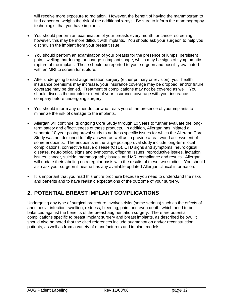will receive more exposure to radiation. However, the benefit of having the mammogram to find cancer outweighs the risk of the additional x-rays. Be sure to inform the mammography technologist that you have implants.

- You should perform an examination of your breasts every month for cancer screening; however, this may be more difficult with implants. You should ask your surgeon to help you distinguish the implant from your breast tissue.
- You should perform an examination of your breasts for the presence of lumps, persistent pain, swelling, hardening, or change in implant shape, which may be signs of symptomatic rupture of the implant. These should be reported to your surgeon and possibly evaluated with an MRI to screen for rupture.
- After undergoing breast augmentation surgery (either primary or revision), your health insurance premiums may increase, your insurance coverage may be dropped, and/or future coverage may be denied. Treatment of complications may not be covered as well. You should discuss the complete extent of your insurance coverage with your insurance company before undergoing surgery.
- You should inform any other doctor who treats you of the presence of your implants to minimize the risk of damage to the implants.
- Allergan will continue its ongoing Core Study through 10 years to further evaluate the longterm safety and effectiveness of these products. In addition, Allergan has initiated a separate 10-year postapproval study to address specific issues for which the Allergan Core Study was not designed to fully answer, as well as to provide a real-world assessment of some endpoints. The endpoints in the large postapproval study include long-term local complications, connective tissue disease (CTD), CTD signs and symptoms, neurological disease, neurological signs and symptoms, offspring issues, reproductive issues, lactation issues, cancer, suicide, mammography issues, and MRI compliance and results. Allergan will update their labeling on a regular basis with the results of these two studies. You should also ask your surgeon if he/she has any available updated Allergan clinical information.
- It is important that you read this entire brochure because you need to understand the risks and benefits and to have realistic expectations of the outcome of your surgery.

# **2. POTENTIAL BREAST IMPLANT COMPLICATIONS**

Undergoing any type of surgical procedure involves risks (some serious) such as the effects of anesthesia, infection, swelling, redness, bleeding, pain, and even death, which need to be balanced against the benefits of the breast augmentation surgery. There are potential complications specific to breast implant surgery and breast implants, as described below. It should also be noted that the cited references include augmentation and/or reconstruction patients, as well as from a variety of manufacturers and implant models.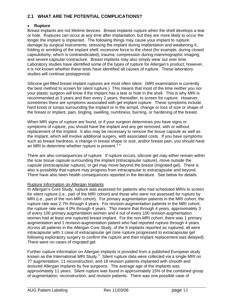### **2.1 WHAT ARE THE POTENTIAL COMPLICATIONS?**

### • **Rupture**

Breast implants are not lifetime devices. Breast implants rupture when the shell develops a tear or hole. Ruptures can occur at any time after implantation, but they are more likely to occur the longer the implant is implanted. The following things may cause your implant to rupture: damage by surgical instruments; stressing the implant during implantation and weakening it; folding or wrinkling of the implant shell; excessive force to the chest (for example, during closed capsulotomy, which is contraindicated); trauma; compression during mammographic imaging; and severe capsular contracture. Breast implants may also simply wear out over time. Laboratory studies have identified some of the types of rupture for Allergan's product; however, it is not known whether these tests have identified all causes of rupture. These laboratory studies will continue postapproval.

Silicone gel-filled breast implant ruptures are most often silent. (MRI examination is currently the best method to screen for silent rupture.) This means that most of the time neither you nor your plastic surgeon will know if the implant has a tear or hole in the shell. This is why MRI is recommended at 3 years and then every 2 years, thereafter, to screen for rupture. However, sometimes there are symptoms associated with gel implant rupture. These symptoms include hard knots or lumps surrounding the implant or in the armpit, change or loss of size or shape of the breast or implant, pain, tingling, swelling, numbness, burning, or hardening of the breast.

When MRI signs of rupture are found, or if your surgeon determines you have signs or symptoms of rupture, you should have the implant and any gel removed, with or without replacement of the implant. It also may be necessary to remove the tissue capsule as well as the implant, which will involve additional surgery, with associated costs. If you have symptoms such as breast hardness, a change in breast shape or size, and/or breast pain, you should have an MRI to determine whether rupture is present.  $3,4$  $3,4$  $3,4$ 

There are also consequences of rupture. If rupture occurs, silicone gel may either remain within the scar tissue capsule surrounding the implant (intracapsular rupture), move outside the capsule (extracapsular rupture), or gel may move beyond the breast (migrated gel). There is also a possibility that rupture may progress from intracapsular to extracapsular and beyond. There have also been health consequences reported in the literature. See below for details.

### Rupture Information on Allergan Implants

In Allergan's Core Study, rupture was assessed for patients who had scheduled MRIs to screen for silent rupture (i.e., part of the MRI cohort) and those who were not assessed for rupture by MRI (i.e., part of the non-MRI cohort). For primary augmentation patients in the MRI cohort, the rupture rate was 2.7% through 4 years. For revision-augmentation patients in the MRI cohort, the rupture rate was 4.0% through 4 years. This means that through 4 years, approximately 3 of every 100 primary augmentation women and 4 out of every 100 revision-augmentation women had at least one ruptured breast implant. For the non-MRI cohort, there was 1 primary augmentation and 1 revision-augmentation patient who had reported rupture through 4 years. Across all patients in the Allergan Core Study, of the 9 implants reported as ruptured, all were intracapsular with 1 case of extracapsular gel (one rupture progressed to extracapsular gel following exploratory surgery to confirm the rupture and then implant replacement was delayed). There were no cases of migrated gel.

Further rupture information on Allergan implants is provided from a published European study known as the International MRI Study.<sup>[5](#page-36-1)</sup> Silent rupture data were collected via a single MRI on 77 augmentation, 11 reconstruction, and 18 revision patients implanted with smooth and textured Allergan implants by five surgeons. The average age of the implants was approximately 11 years. Silent rupture was found in approximately 15% of the combined group of augmentation, reconstruction, and revision patients. There was one possible case of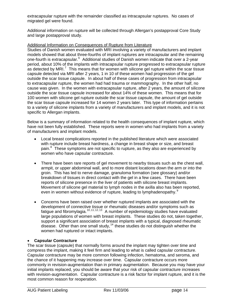extracapsular rupture with the remainder classified as intracapsular ruptures. No cases of migrated gel were found.

Additional information on rupture will be collected through Allergan's postapproval Core Study and large postapproval study.

### Additional Information on Consequences of Rupture from Literature

Studies of Danish women evaluated with MRI involving a variety of manufacturers and implant models showed that about three-fourths of implant ruptures are intracapsular and the remaining one-fourth is extracapsular.<sup>[6](#page-36-1)</sup> Additional studies of Danish women indicate that over a 2-year period, about 10% of the implants with intracapsular rupture progressed to extracapsular rupture as detected by MRI.<sup>[7](#page-36-1)</sup> This means that for women with silicone gel rupture within the scar tissue capsule detected via MRI after 2 years, 1 in 10 of these women had progression of the gel outside the scar tissue capsule. In about half of these cases of progression from intracapsular to extracapsular rupture, the women had had trauma or mammography. In the other half, no cause was given. In the women with extracapsular rupture, after 2 years, the amount of silicone outside the scar tissue capsule increased for about 14% of these women. This means that for 100 women with silicone gel rupture outside the scar tissue capsule, the amount of gel outside the scar tissue capsule increased for 14 women 2 years later. This type of information pertains to a variety of silicone implants from a variety of manufacturers and implant models, and it is not specific to Allergan implants.

Below is a summary of information related to the health consequences of implant rupture, which have not been fully established. These reports were in women who had implants from a variety of manufacturers and implant models.

- Local breast complications reported in the published literature which were associated with rupture include breast hardness, a change in breast shape or size, and breast pain.<sup>[8](#page-36-1)</sup> These symptoms are not specific to rupture, as they also are experienced by women who have capsular contracture.
- There have been rare reports of gel movement to nearby tissues such as the chest wall, armpit, or upper abdominal wall, and to more distant locations down the arm or into the groin. This has led to nerve damage, granuloma formation (see glossary) and/or breakdown of tissues in direct contact with the gel in a few cases. There have been reports of silicone presence in the liver of patients with silicone breast implants. Movement of silicone gel material to lymph nodes in the axilla also has been reported, even in women without evidence of rupture, leading to lymphadenopathy.<sup>[9](#page-36-1)</sup>
- Concerns have been raised over whether ruptured implants are associated with the development of connective tissue or rheumatic diseases and/or symptoms such as fatigue and fibromylagia.<sup>[10](#page-36-1), 11, 12, [13](#page-36-1)</sup> A number of epidemiology studies have evaluated large populations of women with breast implants. These studies do not, taken together, support a significant association of breast implants with a typical, diagnosed rheumatic disease. Other than one small study,  $14$  these studies do not distinguish whether the women had ruptured or intact implants.

### • **Capsular Contracture**

The scar tissue (capsule) that normally forms around the implant may tighten over time and compress the implant, making it feel firm and leading to what is called capsular contracture. Capsular contracture may be more common following infection, hematoma, and seroma, and the chance of it happening may increase over time. Capsular contracture occurs more commonly in revision-augmentation than in primary augmentation. Because you may have your initial implants replaced, you should be aware that your risk of capsular contracture increases with revision-augmentation. Capsular contracture is a risk factor for implant rupture, and it is the most common reason for reoperation.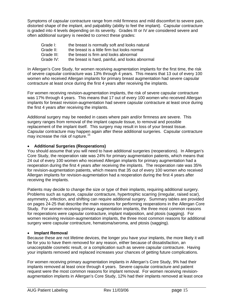Symptoms of capsular contracture range from mild firmness and mild discomfort to severe pain, distorted shape of the implant, and palpability (ability to feel the implant). Capsular contracture is graded into 4 levels depending on its severity. Grades III or IV are considered severe and often additional surgery is needed to correct these grades:

| Grade I:   | the breast is normally soft and looks natural   |
|------------|-------------------------------------------------|
| Grade II:  | the breast is a little firm but looks normal    |
| Grade III: | the breast is firm and looks abnormal           |
| Grade IV:  | the breast is hard, painful, and looks abnormal |

In Allergan's Core Study, for women receiving augmentation implants for the first time, the risk of severe capsular contracture was 13% through 4 years. This means that 13 out of every 100 women who received Allergan implants for primary breast augmentation had severe capsular contracture at least once during the first 4 years after receiving the implants.

For women receiving revision-augmentation implants, the risk of severe capsular contracture was 17% through 4 years. This means that 17 out of every 100 women who received Allergan implants for breast revision-augmentation had severe capsular contracture at least once during the first 4 years after receiving the implants.

Additional surgery may be needed in cases where pain and/or firmness are severe. This surgery ranges from removal of the implant capsule tissue, to removal and possible replacement of the implant itself. This surgery may result in loss of your breast tissue. Capsular contracture may happen again after these additional surgeries. Capsular contracture may increase the risk of rupture.<sup>[15](#page-36-1)</sup>

### • **Additional Surgeries (Reoperations)**

You should assume that you will need to have additional surgeries (reoperations). In Allergan's Core Study, the reoperation rate was 24% for primary augmentation patients, which means that 24 out of every 100 women who received Allergan implants for primary augmentation had a reoperation during the first 4 years after receiving the implants. The reoperation rate was 35% for revision-augmentation patients, which means that 35 out of every 100 women who received Allergan implants for revision-augmentation had a reoperation during the first 4 years after receiving the implants.

Patients may decide to change the size or type of their implants, requiring additional surgery. Problems such as rupture, capsular contracture, hypertrophic scarring (irregular, raised scar), asymmetry, infection, and shifting can require additional surgery. Summary tables are provided on pages 24-25 that describe the main reasons for performing reoperations in the Allergan Core Study. For women receiving primary augmentation implants, the three most common reasons for reoperations were capsular contracture, implant malposition, and ptosis (sagging). For women receiving revision-augmentation implants, the three most common reasons for additional surgery were capsular contracture, hematoma/seroma, and ptosis (sagging).

### • **Implant Removal**

Because these are not lifetime devices, the longer you have your implants, the more likely it will be for you to have them removed for any reason, either because of dissatisfaction, an unacceptable cosmetic result, or a complication such as severe capsular contracture. Having your implants removed and replaced increases your chances of getting future complications.

For women receiving primary augmentation implants in Allergan's Core Study, 9% had their implants removed at least once through 4 years. Severe capsular contracture and patient request were the most common reasons for implant removal. For women receiving revisionaugmentation implants in Allergan's Core Study, 12% had their implants removed at least once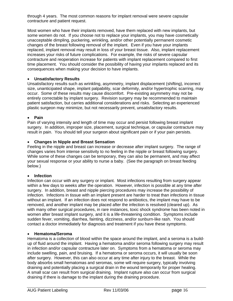through 4 years. The most common reasons for implant removal were severe capsular contracture and patient request.

Most women who have their implants removed, have them replaced with new implants, but some women do not. If you choose not to replace your implants, you may have cosmetically unacceptable dimpling, puckering, wrinkling, and/or other potentially permanent cosmetic changes of the breast following removal of the implant. Even if you have your implants replaced, implant removal may result in loss of your breast tissue. Also, implant replacement increases your risks of future complications. For example, the risks of severe capsular contracture and reoperation increase for patients with implant replacement compared to first time placement. You should consider the possibility of having your implants replaced and its consequences when making your decision to have implants.

### • **Unsatisfactory Results**

Unsatisfactory results such as wrinkling, asymmetry, implant displacement (shifting), incorrect size, unanticipated shape, implant palpability, scar deformity, and/or hypertrophic scarring, may occur. Some of these results may cause discomfort. Pre-existing asymmetry may not be entirely correctable by implant surgery. Revision surgery may be recommended to maintain patient satisfaction, but carries additional considerations and risks. Selecting an experienced plastic surgeon may minimize, but not necessarily prevent, unsatisfactory results.

### • **Pain**

Pain of varying intensity and length of time may occur and persist following breast implant surgery. In addition, improper size, placement, surgical technique, or capsular contracture may result in pain. You should tell your surgeon about significant pain or if your pain persists.

### • **Changes in Nipple and Breast Sensation**

Feeling in the nipple and breast can increase or decrease after implant surgery. The range of changes varies from intense sensitivity to no feeling in the nipple or breast following surgery. While some of these changes can be temporary, they can also be permanent, and may affect your sexual response or your ability to nurse a baby. (See the paragraph on breast feeding below.)

### • **Infection**

Infection can occur with any surgery or implant. Most infections resulting from surgery appear within a few days to weeks after the operation. However, infection is possible at any time after surgery. In addition, breast and nipple piercing procedures may increase the possibility of infection. Infections in tissue with an implant present are harder to treat than infections in tissue without an implant. If an infection does not respond to antibiotics, the implant may have to be removed, and another implant may be placed after the infection is resolved (cleared up). As with many other surgical procedures, in rare instances, toxic shock syndrome has been noted in women after breast implant surgery, and it is a life-threatening condition. Symptoms include sudden fever, vomiting, diarrhea, fainting, dizziness, and/or sunburn-like rash. You should contact a doctor immediately for diagnosis and treatment if you have these symptoms.

#### • **Hematoma/Seroma**

Hematoma is a collection of blood within the space around the implant, and a seroma is a buildup of fluid around the implant. Having a hematoma and/or seroma following surgery may result in infection and/or capsular contracture later on. Symptoms from a hematoma or seroma may include swelling, pain, and bruising. If a hematoma or seroma occurs, it will usually be soon after surgery. However, this can also occur at any time after injury to the breast. While the body absorbs small hematomas and seromas, some will require surgery, typically involving draining and potentially placing a surgical drain in the wound temporarily for proper healing. A small scar can result from surgical draining. Implant rupture also can occur from surgical draining if there is damage to the implant during the draining procedure.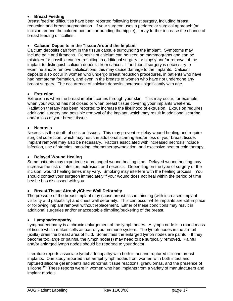### • **Breast Feeding**

Breast feeding difficulties have been reported following breast surgery, including breast reduction and breast augmentation. If your surgeon uses a periareolar surgical approach (an incision around the colored portion surrounding the nipple), it may further increase the chance of breast feeding difficulties.

### • **Calcium Deposits in the Tissue Around the Implant**

Calcium deposits can form in the tissue capsule surrounding the implant. Symptoms may include pain and firmness. Deposits of calcium can be seen on mammograms and can be mistaken for possible cancer, resulting in additional surgery for biopsy and/or removal of the implant to distinguish calcium deposits from cancer. If additional surgery is necessary to examine and/or remove calcifications, this may cause damage to the implants. Calcium deposits also occur in women who undergo breast reduction procedures, in patients who have had hematoma formation, and even in the breasts of women who have not undergone any breast surgery. The occurrence of calcium deposits increases significantly with age.

#### • **Extrusion**

Extrusion is when the breast implant comes through your skin. This may occur, for example, when your wound has not closed or when breast tissue covering your implants weakens. Radiation therapy has been reported to increase the likelihood of extrusion. Extrusion requires additional surgery and possible removal of the implant, which may result in additional scarring and/or loss of your breast tissue.

#### • **Necrosis**

Necrosis is the death of cells or tissues. This may prevent or delay wound healing and require surgical correction, which may result in additional scarring and/or loss of your breast tissue. Implant removal may also be necessary. Factors associated with increased necrosis include infection, use of steroids, smoking, chemotherapy/radiation, and excessive heat or cold therapy.

#### • **Delayed Wound Healing**

Some patients may experience a prolonged wound healing time. Delayed wound healing may increase the risk of infection, extrusion, and necrosis. Depending on the type of surgery or the incision, wound healing times may vary. Smoking may interfere with the healing process. You should contact your surgeon immediately if your wound does not heal within the period of time he/she has discussed with you.

### • **Breast Tissue Atrophy/Chest Wall Deformity**

The pressure of the breast implant may cause breast tissue thinning (with increased implant visibility and palpability) and chest wall deformity. This can occur while implants are still in place or following implant removal without replacement. Either of these conditions may result in additional surgeries and/or unacceptable dimpling/puckering of the breast.

#### • **Lymphadenopathy**

Lymphadenopathy is a chronic enlargement of the lymph nodes. A lymph node is a round mass of tissue which makes cells as part of your immune system. The lymph nodes in the armpit (axilla) drain the breast area of fluid. Sometimes the enlarged lymph nodes are painful. If they become too large or painful, the lymph node(s) may need to be surgically removed. Painful and/or enlarged lymph nodes should be reported to your doctor.

Literature reports associate lymphadenopathy with both intact and ruptured silicone breast implants. One study reported that armpit lymph nodes from women with both intact and ruptured silicone gel implants had abnormal tissue reactions, granulomas, and the presence of silicone.<sup>[16](#page-36-1)</sup> These reports were in women who had implants from a variety of manufacturers and implant models.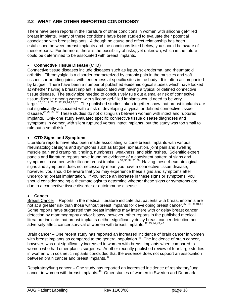### **2.2 WHAT ARE OTHER REPORTED CONDITIONS?**

There have been reports in the literature of other conditions in women with silicone gel-filled breast implants. Many of these conditions have been studied to evaluate their potential association with breast implants. Although no cause and effect relationship has been established between breast implants and the conditions listed below, you should be aware of these reports. Furthermore, there is the possibility of risks, yet unknown, which in the future could be determined to be associated with breast implants.

### • **Connective Tissue Disease (CTD)**

Connective tissue diseases include diseases such as lupus, scleroderma, and rheumatoid arthritis. Fibromyalgia is a disorder characterized by chronic pain in the muscles and soft tissues surrounding joints, with tenderness at specific sites in the body. It is often accompanied by fatigue. There have been a number of published epidemiological studies which have looked at whether having a breast implant is associated with having a typical or defined connective tissue disease. The study size needed to conclusively rule out a smaller risk of connective tissue disease among women with silicone gel-filled implants would need to be very large.<sup>[17](#page-36-1), 18, 19, 20, 21, 22, 23, 24, 25, [26](#page-36-1)</sup> The published studies taken together show that breast implants are not significantly associated with a risk of developing a typical or defined connective tissue disease.<sup>[27](#page-36-1), 28, 29, [30](#page-36-1)</sup> These studies do not distinguish between women with intact and ruptured implants. Only one study evaluated specific connective tissue disease diagnoses and symptoms in women with silent ruptured versus intact implants, but the study was too small to rule out a small risk. $31$ 

### • **CTD Signs and Symptoms**

Literature reports have also been made associating silicone breast implants with various rheumatological signs and symptoms such as fatigue, exhaustion, joint pain and swelling, muscle pain and cramping, tingling, numbness, weakness, and skin rashes. Scientific expert panels and literature reports have found no evidence of a consistent pattern of signs and symptoms in women with silicone breast implants.  $32, 33, 34, 35, 36$  $32, 33, 34, 35, 36$  $32, 33, 34, 35, 36$  Having these rheumatological signs and symptoms does not necessarily mean you have a connective tissue disease; however, you should be aware that you may experience these signs and symptoms after undergoing breast implantation. If you notice an increase in these signs or symptoms, you should consider seeing a rheumatologist to determine whether these signs or symptoms are due to a connective tissue disorder or autoimmune disease.

### • **Cancer**

Breast Cancer – Reports in the medical literature indicate that patients with breast implants are not at a greater risk than those without breast implants for developing breast cancer. [37](#page-36-1), 38, 39, 40, [41](#page-36-1) Some reports have suggested that breast implants may interfere with or delay breast cancer detection by mammography and/or biopsy; however, other reports in the published medical literature indicate that breast implants neither significantly delay breast cancer detection nor adversely affect cancer survival of women with breast implants.<sup>[42](#page-36-1),43,44,45,[46](#page-36-1)</sup>

Brain cancer – One recent study has reported an increased incidence of brain cancer in women with breast implants as compared to the general population.<sup>[47](#page-36-1)</sup> The incidence of brain cancer, however, was not significantly increased in women with breast implants when compared to women who had other plastic surgeries. Another recently published review of four large studies in women with cosmetic implants concluded that the evidence does not support an association between brain cancer and breast implants.<sup>[48](#page-36-1)</sup>

Respiratory/lung cancer – One study has reported an increased incidence of respiratory/lung cancer in women with breast implants.<sup>[49](#page-36-1)</sup> Other studies of women in Sweden and Denmark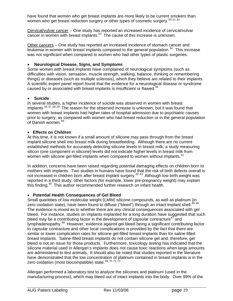have found that women who get breast implants are more likely to be current smokers than women who get breast reduction surgery or other types of cosmetic surgery.  $50, 51, 52$  $50, 51, 52$  $50, 51, 52$ 

Cervical/vulvar cancer – One study has reported an increased incidence of cervical/vulvar cancer in women with breast implants.<sup>[53](#page-36-1)</sup> The cause of this increase is unknown.

Other cancers – One study has reported an increased incidence of stomach cancer and leukemia in women with breast implants compared to the general population.[54](#page-36-1)This increase was not significant when compared to women who had other types of plastic surgeries.

### • **Neurological Disease, Signs, and Symptoms**

Some women with breast implants have complained of neurological symptoms (such as difficulties with vision, sensation, muscle strength, walking, balance, thinking or remembering things) or diseases (such as multiple sclerosis), which they believe are related to their implants. A scientific expert panel report found that the evidence for a neurological disease or syndrome caused by or associated with breast implants is insufficient or flawed.<sup>[55](#page-36-1)</sup>

### • **Suicide**

In several studies, a higher incidence of suicide was observed in women with breast implants.<sup>[56](#page-36-1), 57, 58, [59](#page-36-1)</sup> The reason for the observed increase is unknown, but it was found that women with breast implants had higher rates of hospital admission due to psychiatric causes prior to surgery, as compared with women who had breast reduction or in the general population of Danish women.<sup>[60](#page-36-1)</sup>

### • **Effects on Children**

At this time, it is not known if a small amount of silicone may pass through from the breast implant silicone shell into breast milk during breastfeeding. Although there are no current established methods for accurately detecting silicone levels in breast milk, a study measuring silicon (one component in silicone) levels did not indicate higher levels in breast milk from women with silicone gel-filled implants when compared to women without implants.<sup>[61](#page-36-1)</sup>

In addition, concerns have been raised regarding potential damaging effects on children born to mothers with implants. Two studies in humans have found that the risk of birth defects overall is not increased in children born after breast implant surgery.<sup>[62](#page-36-1),[63](#page-36-1)</sup> Although low birth weight was reported in a third study, other factors (for example, lower pre-pregnancy weight) may explain this finding.<sup>[64](#page-36-1)</sup> This author recommended further research on infant health.

### • **Potential Health Consequences of Gel Bleed**

Small quantities of low molecular weight (LMW) silicone compounds, as well as platinum (in zero oxidation state), have been found to diffuse ("bleed") through an intact implant shell.<sup>[65](#page-36-1),[66](#page-36-1)</sup> The evidence is mixed as to whether there are any clinical consequences associated with gel bleed. For instance, studies on implants implanted for a long duration have suggested that such bleed may be a contributing factor in the development of capsular contracture<sup>[67](#page-36-1)</sup> and lymphadenopathy.<sup>[68](#page-36-1)</sup> However, evidence against gel bleed being a significant contributing factor to capsular contracture and other local complications is provided by the fact that there are similar or lower complication rates for silicone gel-filled breast implants than for saline-filled breast implants. Saline-filled breast implants do not contain silicone gel and, therefore, gel bleed is not an issue for those products. Furthermore, toxicology testing has indicated that the silicone material used in Allergan's implants does not cause toxic reactions when large amounts are administered to test animals. It should also be noted that studies reported in the literature have demonstrated that the low concentration of platinum contained in breast implants is in the zero oxidation (most biocompatible) state.<sup>[69](#page-36-1),70,71,[72](#page-36-1)</sup>

Allergan performed a laboratory test to analyze the silicones and platinum (used in the manufacturing process), which may bleed out of intact implants into the body. Over 99% of the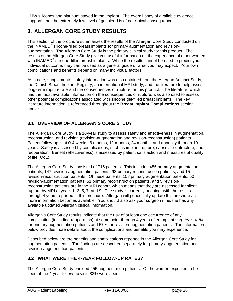LMW silicones and platinum stayed in the implant. The overall body of available evidence supports that the extremely low level of gel bleed is of no clinical consequence.

## **3. ALLERGAN CORE STUDY RESULTS**

This section of the brochure summarizes the results of the Allergan Core Study conducted on the INAMED® silicone-filled breast implants for primary augmentation and revisionaugmentation. The Allergan Core Study is the primary clinical study for this product. The results of the Allergan Core Study give you useful information on the experience of other women with INAMED<sup>®</sup> silicone-filled breast implants. While the results cannot be used to predict your individual outcome, they can be used as a general guide of what you may expect. Your own complications and benefits depend on many individual factors.

As a note, supplemental safety information was also obtained from the Allergan Adjunct Study, the Danish Breast Implant Registry, an international MRI study, and the literature to help assess long-term rupture rate and the consequences of rupture for this product. The literature, which had the most available information on the consequences of rupture, was also used to assess other potential complications associated with silicone gel-filled breast implants. The key literature information is referenced throughout the **Breast Implant Complications** section above.

### **3.1 OVERVIEW OF ALLERGAN'S CORE STUDY**

The Allergan Core Study is a 10-year study to assess safety and effectiveness in augmentation, reconstruction, and revision (revision-augmentation and revision-reconstruction) patients. Patient follow-up is at 0-4 weeks, 6 months, 12 months, 24 months, and annually through 10 years. Safety is assessed by complications, such as implant rupture, capsular contracture, and reoperation. Benefit (effectiveness) is assessed by patient satisfaction and measures of quality of life (QoL).

The Allergan Core Study consisted of 715 patients. This includes 455 primary augmentation patients, 147 revision-augmentation patients, 98 primary reconstruction patients, and 15 revision-reconstruction patients. Of these patients, 158 primary augmentation patients, 50 revision-augmentation patients, 51 primary reconstruction patients, and 5 revisionreconstruction patients are in the MRI cohort, which means that they are assessed for silent rupture by MRI at years 1, 3, 5, 7, and 9. The study is currently ongoing, with the results through 4 years reported in this brochure. Allergan will periodically update this brochure as more information becomes available. You should also ask your surgeon if he/she has any available updated Allergan clinical information.

Allergan's Core Study results indicate that the risk of at least one occurrence of any complication (including reoperation) at some point through 4 years after implant surgery is 41% for primary augmentation patients and 57% for revision-augmentation patients. The information below provides more details about the complications and benefits you may experience.

Described below are the benefits and complications reported in the Allergan Core Study for augmentation patients. The findings are described separately for primary augmentation and revision-augmentation patients.

### **3.2 WHAT WERE THE 4-YEAR FOLLOW-UP RATES?**

The Allergan Core Study enrolled 455 augmentation patients. Of the women expected to be seen at the 4-year follow-up visit, 83% were seen.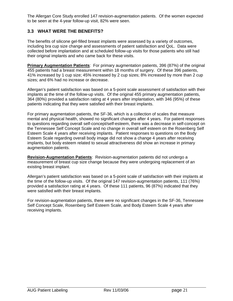The Allergan Core Study enrolled 147 revision-augmentation patients. Of the women expected to be seen at the 4-year follow-up visit, 82% were seen.

### **3.3 WHAT WERE THE BENEFITS?**

The benefits of silicone gel-filled breast implants were assessed by a variety of outcomes, including bra cup size change and assessments of patient satisfaction and QoL. Data were collected before implantation and at scheduled follow-up visits for those patients who still had their original implants and who came back for these visits.

**Primary Augmentation Patients**: For primary augmentation patients, 396 (87%) of the original 455 patients had a breast measurement within 18 months of surgery. Of these 396 patients, 41% increased by 1 cup size; 45% increased by 2 cup sizes; 8% increased by more than 2 cup sizes; and 6% had no increase or decrease.

Allergan's patient satisfaction was based on a 5-point scale assessment of satisfaction with their implants at the time of the follow-up visits. Of the original 455 primary augmentation patients, 364 (80%) provided a satisfaction rating at 4 years after implantation, with 346 (95%) of these patients indicating that they were satisfied with their breast implants.

For primary augmentation patients, the SF-36, which is a collection of scales that measure mental and physical health, showed no significant changes after 4 years. For patient responses to questions regarding overall self-concept/self-esteem, there was a decrease in self-concept on the Tennessee Self Concept Scale and no change in overall self esteem on the Rosenberg Self Esteem Scale 4 years after receiving implants. Patient responses to questions on the Body Esteem Scale regarding overall body image did not show a change 4 years after receiving implants, but body esteem related to sexual attractiveness did show an increase in primary augmentation patients.

**Revision-Augmentation Patients**: Revision-augmentation patients did not undergo a measurement of breast cup size change because they were undergoing replacement of an existing breast implant.

Allergan's patient satisfaction was based on a 5-point scale of satisfaction with their implants at the time of the follow-up visits. Of the original 147 revision-augmentation patients, 111 (76%) provided a satisfaction rating at 4 years. Of these 111 patients, 96 (87%) indicated that they were satisfied with their breast implants.

For revision-augmentation patients, there were no significant changes in the SF-36, Tennessee Self Concept Scale, Rosenberg Self Esteem Scale, and Body Esteem Scale 4 years after receiving implants.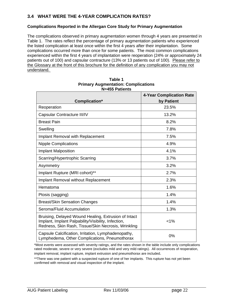### **3.4 WHAT WERE THE 4-YEAR COMPLICATION RATES?**

### **Complications Reported in the Allergan Core Study for Primary Augmentation**

The complications observed in primary augmentation women through 4 years are presented in Table 1. The rates reflect the percentage of primary augmentation patients who experienced the listed complication at least once within the first 4 years after their implantation. Some complications occurred more than once for some patients. The most common complications experienced within the first 4 years of implantation were reoperation (24% or approximately 24 patients out of 100) and capsular contracture (13% or 13 patients out of 100). Please refer to the Glossary at the front of this brochure for the definition of any complication you may not understand.

|                                                                                                                                                                    | <b>4-Year Complication Rate</b> |
|--------------------------------------------------------------------------------------------------------------------------------------------------------------------|---------------------------------|
| Complication*                                                                                                                                                      | by Patient                      |
| Reoperation                                                                                                                                                        | 23.5%                           |
| Capsular Contracture III/IV                                                                                                                                        | 13.2%                           |
| <b>Breast Pain</b>                                                                                                                                                 | 8.2%                            |
| Swelling                                                                                                                                                           | 7.8%                            |
| Implant Removal with Replacement                                                                                                                                   | 7.5%                            |
| <b>Nipple Complications</b>                                                                                                                                        | 4.9%                            |
| <b>Implant Malposition</b>                                                                                                                                         | 4.1%                            |
| Scarring/Hypertrophic Scarring                                                                                                                                     | 3.7%                            |
| Asymmetry                                                                                                                                                          | 3.2%                            |
| Implant Rupture (MRI cohort)**                                                                                                                                     | 2.7%                            |
| Implant Removal without Replacement                                                                                                                                | 2.3%                            |
| Hematoma                                                                                                                                                           | 1.6%                            |
| Ptosis (sagging)                                                                                                                                                   | 1.4%                            |
| <b>Breast/Skin Sensation Changes</b>                                                                                                                               | 1.4%                            |
| Seroma/Fluid Accumulation                                                                                                                                          | 1.3%                            |
| Bruising, Delayed Wound Healing, Extrusion of Intact<br>Implant, Implant Palpability/Visibility, Infection,<br>Redness, Skin Rash, Tissue/Skin Necrosis, Wrinkling | $< 1\%$                         |
| Capsule Calcification, Irritation, Lymphadenopathy,<br>Lymphedema, Other Complications, Pneumothorax                                                               | 0%                              |

| Table 1                                    |  |
|--------------------------------------------|--|
| <b>Primary Augmentation: Complications</b> |  |
| N=455 Patients                             |  |

\*\*There was one patient with a suspected rupture of one of her implants. This rupture has not yet been confirmed with removal and visual inspection of the implant.

<sup>\*</sup>Most events were assessed with severity ratings, and the rates shown in the table include only complications rated moderate, severe or very severe (excludes mild and very mild ratings). All occurrences of reoperation, implant removal, implant rupture, implant extrusion and pneumothorax are included.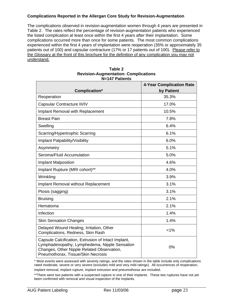### **Complications Reported in the Allergan Core Study for Revision-Augmentation**

The complications observed in revision-augmentation women through 4 years are presented in Table 2. The rates reflect the percentage of revision-augmentation patients who experienced the listed complication at least once within the first 4 years after their implantation. Some complications occurred more than once for some patients. The most common complications experienced within the first 4 years of implantation were reoperation (35% or approximately 35 patients out of 100) and capsular contracture (17% or 17 patients out of 100). Please refer to the Glossary at the front of this brochure for the definition of any complication you may not understand.

|                                                                                                                                                                                          | <b>4-Year Complication Rate</b> |
|------------------------------------------------------------------------------------------------------------------------------------------------------------------------------------------|---------------------------------|
| Complication*                                                                                                                                                                            | by Patient                      |
| Reoperation                                                                                                                                                                              | 35.3%                           |
| Capsular Contracture III/IV                                                                                                                                                              | 17.0%                           |
| <b>Implant Removal with Replacement</b>                                                                                                                                                  | 10.5%                           |
| <b>Breast Pain</b>                                                                                                                                                                       | 7.8%                            |
| Swelling                                                                                                                                                                                 | 6.4%                            |
| Scarring/Hypertrophic Scarring                                                                                                                                                           | 6.1%                            |
| Implant Palpability/Visibility                                                                                                                                                           | 6.0%                            |
| Asymmetry                                                                                                                                                                                | 5.1%                            |
| Seroma/Fluid Accumulation                                                                                                                                                                | 5.0%                            |
| <b>Implant Malposition</b>                                                                                                                                                               | 4.6%                            |
| Implant Rupture (MRI cohort)**                                                                                                                                                           | 4.0%                            |
| Wrinkling                                                                                                                                                                                | 3.9%                            |
| Implant Removal without Replacement                                                                                                                                                      | 3.1%                            |
| Ptosis (sagging)                                                                                                                                                                         | 3.1%                            |
| <b>Bruising</b>                                                                                                                                                                          | 2.1%                            |
| Hematoma                                                                                                                                                                                 | 2.1%                            |
| Infection                                                                                                                                                                                | 1.4%                            |
| <b>Skin Sensation Changes</b>                                                                                                                                                            | 1.4%                            |
| Delayed Wound Healing, Irritation, Other<br>Complications, Redness, Skin Rash                                                                                                            | $< 1\%$                         |
| Capsule Calcification, Extrusion of Intact Implant,<br>Lymphadenopathy, Lymphedema, Nipple Sensation<br>Changes, Other Nipple Related Observation,<br>Pneumothorax, Tissue/Skin Necrosis | 0%                              |

#### **Table 2 Revision-Augmentation: Complications N=147 Patients**

\* Most events were assessed with severity ratings, and the rates shown in the table include only complications rated moderate, severe or very severe (excludes mild and very mild ratings). All occurrences of reoperation, implant removal, implant rupture, implant extrusion and pneumothorax are included.

\*\*There were two patients with a suspected rupture in one of their implants. These two ruptures have not yet been confirmed with removal and visual inspection of the implants.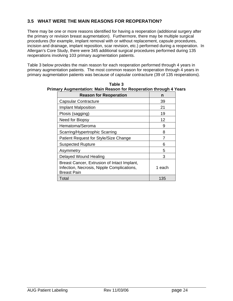### **3.5 WHAT WERE THE MAIN REASONS FOR REOPERATION?**

There may be one or more reasons identified for having a reoperation (additional surgery after the primary or revision breast augmentation). Furthermore, there may be multiple surgical procedures (for example, implant removal with or without replacement, capsule procedures, incision and drainage, implant reposition, scar revision, etc.) performed during a reoperation. In Allergan's Core Study, there were 345 additional surgical procedures performed during 135 reoperations involving 103 primary augmentation patients.

Table 3 below provides the main reason for each reoperation performed through 4 years in primary augmentation patients. The most common reason for reoperation through 4 years in primary augmentation patients was because of capsular contracture (39 of 135 reoperations).

| <b>Reason for Reoperation</b>                                                                                   | n      |
|-----------------------------------------------------------------------------------------------------------------|--------|
| <b>Capsular Contracture</b>                                                                                     | 39     |
| Implant Malposition                                                                                             | 21     |
| Ptosis (sagging)                                                                                                | 19     |
| Need for Biopsy                                                                                                 | 12     |
| Hematoma/Seroma                                                                                                 | 9      |
| Scarring/Hypertrophic Scarring                                                                                  | 8      |
| Patient Request for Style/Size Change                                                                           | 7      |
| <b>Suspected Rupture</b>                                                                                        | 6      |
| Asymmetry                                                                                                       | 5      |
| Delayed Wound Healing                                                                                           | з      |
| Breast Cancer, Extrusion of Intact Implant,<br>Infection, Necrosis, Nipple Complications,<br><b>Breast Pain</b> | 1 each |
| Total                                                                                                           | 135    |

**Table 3 Primary Augmentation: Main Reason for Reoperation through 4 Years**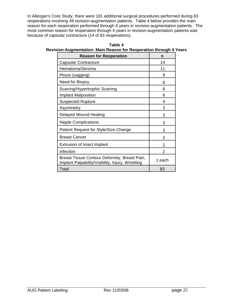In Allergan's Core Study, there were 181 additional surgical procedures performed during 83 reoperations involving 49 revision-augmentation patients. Table 4 below provides the main reason for each reoperation performed through 4 years in revision-augmentation patients. The most common reason for reoperation through 4 years in revision-augmentation patients was because of capsular contracture (14 of 83 reoperations).

| Table 4                                                            |
|--------------------------------------------------------------------|
| Revision-Augmentation: Main Reason for Reoperation through 4 Years |

| <b>Reason for Reoperation</b>                                                                      | n      |
|----------------------------------------------------------------------------------------------------|--------|
| Capsular Contracture                                                                               | 14     |
| Hematoma/Seroma                                                                                    | 11     |
| Ptosis (sagging)                                                                                   | 9      |
| Need for Biopsy                                                                                    | 8      |
| Scarring/Hypertrophic Scarring                                                                     | 8      |
| <b>Implant Malposition</b>                                                                         | 6      |
| <b>Suspected Rupture</b>                                                                           | 4      |
| Asymmetry                                                                                          | 3      |
| Delayed Wound Healing                                                                              | 3      |
| <b>Nipple Complications</b>                                                                        | 3      |
| Patient Request for Style/Size Change                                                              | 3      |
| <b>Breast Cancer</b>                                                                               | 2      |
| Extrusion of Intact Implant                                                                        | 2      |
| Infection                                                                                          | 2      |
| Breast Tissue Contour Deformity, Breast Pain,<br>Implant Palpability/Visibility, Injury, Wrinkling | 1 each |
| Total                                                                                              | 83     |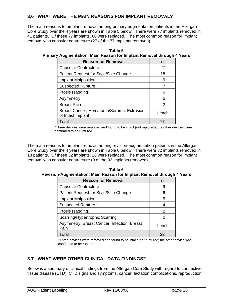### **3.6 WHAT WERE THE MAIN REASONS FOR IMPLANT REMOVAL?**

The main reasons for implant removal among primary augmentation patients in the Allergan Core Study over the 4 years are shown in Table 5 below. There were 77 implants removed in 41 patients. Of these 77 implants, 60 were replaced. The most common reason for implant removal was capsular contracture (27 of the 77 implants removed).

| Table 5                                                               |  |
|-----------------------------------------------------------------------|--|
| Primary Augmentation: Main Reason for Implant Removal through 4 Years |  |

| <b>Reason for Removal</b>                                      | n      |
|----------------------------------------------------------------|--------|
| <b>Capsular Contracture</b>                                    | 27     |
| Patient Request for Style/Size Change                          | 18     |
| <b>Implant Malposition</b>                                     | 9      |
| Suspected Rupture*                                             |        |
| Ptosis (sagging)                                               | 6      |
| Asymmetry                                                      | 5      |
| <b>Breast Pain</b>                                             | 2      |
| Breast Cancer, Hematoma/Seroma, Extrusion<br>of Intact Implant | 1 each |
| Total                                                          |        |

\*Three devices were removed and found to be intact (not ruptured); the other devices were confirmed to be ruptured.

The main reasons for implant removal among revision-augmentation patients in the Allergan Core Study over the 4 years are shown in Table 6 below. There were 32 implants removed in 18 patients. Of these 32 implants, 26 were replaced. The most common reason for implant removal was capsular contracture (9 of the 32 implants removed).

| Table 6                                                                |  |
|------------------------------------------------------------------------|--|
| Revision-Augmentation: Main Reason for Implant Removal through 4 Years |  |

| <b>Reason for Removal</b>                           | n      |
|-----------------------------------------------------|--------|
| <b>Capsular Contracture</b>                         | 9      |
| Patient Request for Style/Size Change               | 6      |
| <b>Implant Malposition</b>                          | 5      |
| Suspected Rupture*                                  | 4      |
| Ptosis (sagging)                                    | 2      |
| Scarring/Hypertrophic Scarring                      | 2      |
| Asymmetry, Breast Cancer, Infection, Breast<br>Pain | 1 each |
| Total                                               | 32     |

\*Three devices were removed and found to be intact (not ruptured; the other device was confirmed to be ruptured.

### **3.7 WHAT WERE OTHER CLINICAL DATA FINDINGS?**

Below is a summary of clinical findings from the Allergan Core Study with regard to connective tissue disease (CTD), CTD signs and symptoms, cancer, lactation complications, reproduction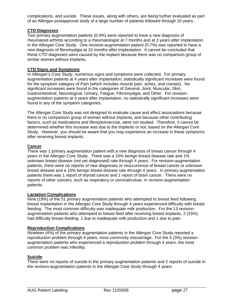complications, and suicide. These issues, along with others, are being further evaluated as part of an Allergan postapproval study of a large number of patients followed through 10 years.

### **CTD Diagnoses**

Two primary augmentation patients (0.4%) were reported to have a new diagnosis of rheumatoid arthritis according to a rheumatologist at 7 months and at 3 years after implantation in the Allergan Core Study. One revision-augmentation patient (0.7%) was reported to have a new diagnosis of fibromyalgia at 10 months after implantation. It cannot be concluded that these CTD diagnoses were caused by the implant because there was no comparison group of similar women without implants.

### **CTD Signs and Symptoms**

In Allergan's Core Study, numerous signs and symptoms were collected. For primary augmentation patients at 4 years after implantation, statistically significant increases were found for the symptom category of Pain (which includes muscle pain, aches, and cramps). No significant increases were found in the categories of General, Joint, Muscular, Skin, Gastrointestinal, Neurological, Urinary, Fatigue, Fibromyalgia, and Other. For revisionaugmentation patients at 4 years after implantation, no statistically significant increases were found in any of the symptom categories.

The Allergan Core Study was not designed to evaluate cause and effect associations because there is no comparison group of women without implants, and because other contributing factors, such as medications and lifestyle/exercise, were not studied. Therefore, it cannot be determined whether this increase was due to the implants or not, based on the Allergan Core Study. However, you should be aware that you may experience an increase in these symptoms after receiving breast implants.

#### **Cancer**

There was 1 primary augmentation patient with a new diagnosis of breast cancer through 4 years in the Allergan Core Study. There was a 10% benign breast disease rate and 1% unknown breast disease (not yet diagnosed) rate through 4 years. For revision-augmentation patients, there were no reports of new diagnoses or reoccurrence of breast cancer or unknown breast disease and a 10% benign breast disease rate through 4 years. In primary augmentation patients there was 1 report of thyroid cancer and 1 report of brain cancer. There were no reports of other cancers, such as respiratory or cervical/vulvar, in revision-augmentation patients.

#### **Lactation Complications**

Nine (18%) of the 51 primary augmentation patients who attempted to breast feed following breast implantation in the Allergan Core Study through 4 years experienced difficulty with breast feeding. The most common difficulty was inadequate milk production. For the 13 revisionaugmentation patients who attempted to breast feed after receiving breast implants, 2 (15%) had difficulty breast feeding, 1 due to inadequate milk production and 1 due to pain.

#### **Reproduction Complications**

Nineteen (4%) of the primary augmentation patients in the Allergan Core Study reported a reproduction problem through 4 years, most commonly miscarriage. For the 5 (3%) revisionaugmentation patients who experienced a reproduction problem through 4 years, the most common problem was infertility.

### **Suicide**

There were no reports of suicide in the primary augmentation patients and 2 reports of suicide in the revision-augmentation patients in the Allergan Core Study through 4 years.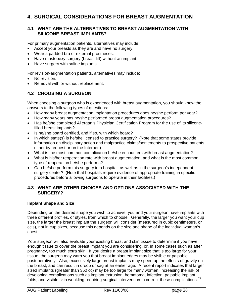### **4. SURGICAL CONSIDERATIONS FOR BREAST AUGMENTATION**

### **4.1 WHAT ARE THE ALTERNATIVES TO BREAST AUGMENTATION WITH SILICONE BREAST IMPLANTS?**

For primary augmentation patients, alternatives may include:

- Accept your breasts as they are and have no surgery.
- Wear a padded bra or external prostheses.
- Have mastopexy surgery (breast lift) without an implant.
- Have surgery with saline implants.

For revision-augmentation patients, alternatives may include:

- No revision.
- Removal with or without replacement.

### **4.2 CHOOSING A SURGEON**

When choosing a surgeon who is experienced with breast augmentation, you should know the answers to the following types of questions:

- How many breast augmentation implantation procedures does he/she perform per year?
- How many years has he/she performed breast augmentation procedures?
- Has he/she completed Allergan's Physician Certification Program for the use of its siliconefilled breast implants?
- Is he/she board certified, and if so, with which board?
- In which state(s) is he/she licensed to practice surgery? (Note that some states provide information on disciplinary action and malpractice claims/settlements to prospective patients, either by request or on the Internet.)
- What is the most common complication he/she encounters with breast augmentation?
- What is his/her reoperation rate with breast augmentation, and what is the most common type of reoperation he/she performs?
- Can he/she perform this surgery in a hospital, as well as in the surgeon's independent surgery center? (Note that hospitals require evidence of appropriate training in specific procedures before allowing surgeons to operate in their facilities.)

### **4.3 WHAT ARE OTHER CHOICES AND OPTIONS ASSOCIATED WITH THE SURGERY?**

### **Implant Shape and Size**

Depending on the desired shape you wish to achieve, you and your surgeon have implants with three different profiles, or styles, from which to choose. Generally, the larger you want your cup size, the larger the breast implant the surgeon will consider (measured in cubic centimeters, or cc's), not in cup sizes, because this depends on the size and shape of the individual woman's chest.

Your surgeon will also evaluate your existing breast and skin tissue to determine if you have enough tissue to cover the breast implant you are considering, or, in some cases such as after pregnancy, too much extra skin. If you desire a breast implant size that is too large for your tissue, the surgeon may warn you that breast implant edges may be visible or palpable postoperatively. Also, excessively large breast implants may speed up the effects of gravity on the breast, and can result in droop or sag at an earlier age. A recent report indicates that larger sized implants (greater than 350 cc) may be too large for many women, increasing the risk of developing complications such as implant extrusion, hematoma, infection, palpable implant folds, and visible skin wrinkling requiring surgical intervention to correct these complications.<sup>[73](#page-36-1)</sup>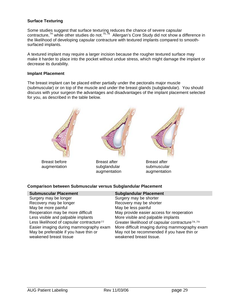### **Surface Texturing**

Some studies suggest that surface texturing reduces the chance of severe capsular contracture,<sup>[74](#page-36-1)</sup> while other studies do not.<sup>[75](#page-36-1),[76](#page-36-1)</sup> Allergan's Core Study did not show a difference in the likelihood of developing capsular contracture with textured implants compared to smoothsurfaced implants.

A textured implant may require a larger incision because the rougher textured surface may make it harder to place into the pocket without undue stress, which might damage the implant or decrease its durability.

#### **Implant Placement**

The breast implant can be placed either partially under the pectoralis major muscle (submuscular) or on top of the muscle and under the breast glands (subglandular). You should discuss with your surgeon the advantages and disadvantages of the implant placement selected for you, as described in the table below.



### **Comparison between Submuscular versus Subglandular Placement**

| <b>Submuscular Placement</b>                          | <b>Subglandular Placement</b>                               |
|-------------------------------------------------------|-------------------------------------------------------------|
| Surgery may be longer                                 | Surgery may be shorter                                      |
| Recovery may be longer                                | Recovery may be shorter                                     |
| May be more painful                                   | May be less painful                                         |
| Reoperation may be more difficult                     | May provide easier access for reoperation                   |
| Less visible and palpable implants                    | More visible and palpable implants                          |
| Less likelihood of capsular contracture <sup>77</sup> | Greater likelihood of capsular contracture <sup>78,79</sup> |
| Easier imaging during mammography exam                | More difficult imaging during mammography exam              |
| May be preferable if you have thin or                 | May not be recommended if you have thin or                  |
| weakened breast tissue                                | weakened breast tissue.                                     |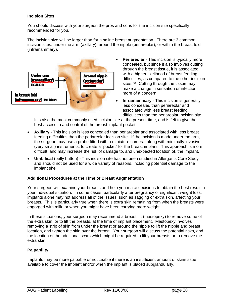### **Incision Sites**

You should discuss with your surgeon the pros and cons for the incision site specifically recommended for you.

The incision size will be larger than for a saline breast augmentation. There are 3 common incision sites: under the arm (axillary), around the nipple (periareolar), or within the breast fold (inframammary).



- **Periareolar** This incision is typically more concealed, but since it also involves cutting through the breast tissue, it is associated with a higher likelihood of breast feeding difficulties, as compared to the other incision sites.<sup>[80](#page-36-1)</sup> Cutting through the tissue may make a change in sensation or infection more of a concern.
- **Inframammary** This incision is generally less concealed than periareolar and associated with less breast feeding difficulties than the periareolar incision site.

It is also the most commonly used incision site at the present time, and is felt to give the best access to and control of the breast implant pocket.

- **Axillary** This incision is less concealed than periareolar and associated with less breast feeding difficulties than the periareolar incision site. If the incision is made under the arm, the surgeon may use a probe fitted with a miniature camera, along with minimally invasive (very small) instruments, to create a "pocket" for the breast implant. This approach is more difficult, and may increase the risk of damage to, and unexpected location of, the implant.
- **Umbilical** (belly button) This incision site has not been studied in Allergan's Core Study and should not be used for a wide variety of reasons, including potential damage to the implant shell.

### **Additional Procedures at the Time of Breast Augmentation**

Your surgeon will examine your breasts and help you make decisions to obtain the best result in your individual situation. In some cases, particularly after pregnancy or significant weight loss, implants alone may not address all of the issues, such as sagging or extra skin, affecting your breasts. This is particularly true when there is extra skin remaining from when the breasts were engorged with milk, or when you might have been carrying more weight.

In these situations, your surgeon may recommend a breast lift (mastopexy) to remove some of the extra skin, or to lift the breasts, at the time of implant placement. Mastopexy involves removing a strip of skin from under the breast or around the nipple to lift the nipple and breast location, and tighten the skin over the breast. Your surgeon will discuss the potential risks, and the location of the additional scars which might be required to lift your breasts or to remove the extra skin.

### **Palpability**

Implants may be more palpable or noticeable if there is an insufficient amount of skin/tissue available to cover the implant and/or when the implant is placed subglandularly.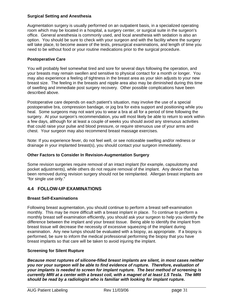### **Surgical Setting and Anesthesia**

Augmentation surgery is usually performed on an outpatient basis, in a specialized operating room which may be located in a hospital, a surgery center, or surgical suite in the surgeon's office. General anesthesia is commonly used, and local anesthesia with sedation is also an option. You should be sure to check with your surgeon and with the facility where the surgery will take place, to become aware of the tests, presurgical examinations, and length of time you need to be without food or your routine medications prior to the surgical procedure.

### **Postoperative Care**

You will probably feel somewhat tired and sore for several days following the operation, and your breasts may remain swollen and sensitive to physical contact for a month or longer. You may also experience a feeling of tightness in the breast area as your skin adjusts to your new breast size. The feeling in the breasts and nipple area also may be diminished during this time of swelling and immediate post surgery recovery. Other possible complications have been described above.

Postoperative care depends on each patient's situation, may involve the use of a special postoperative bra, compression bandage, or jog bra for extra support and positioning while you heal. Some surgeons may not want you to wear a bra at all for a period of time following the surgery. At your surgeon's recommendation, you will most likely be able to return to work within a few days, although for at least a couple of weeks you should avoid any strenuous activities that could raise your pulse and blood pressure, or require strenuous use of your arms and chest. Your surgeon may also recommend breast massage exercises.

Note: If you experience fever, do not feel well, or see noticeable swelling and/or redness or drainage in your implanted breast(s), you should contact your surgeon immediately.

### **Other Factors to Consider In Revision-Augmentation Surgery**

Some revision surgeries require removal of an intact implant (for example, capsulotomy and pocket adjustments), while others do not require removal of the implant. Any device that has been removed during revision surgery should not be reimplanted. Allergan breast implants are "for single use only."

### **4.4 FOLLOW-UP EXAMINATIONS**

### **Breast Self-Examinations**

Following breast augmentation, you should continue to perform a breast self-examination monthly. This may be more difficult with a breast implant in place. To continue to perform a monthly breast self examination efficiently, you should ask your surgeon to help you identify the difference between the implant and your breast tissue. Being able to identify the implant from breast tissue will decrease the necessity of excessive squeezing of the implant during examination. Any new lumps should be evaluated with a biopsy, as appropriate. If a biopsy is performed, be sure to inform the medical professional performing the biopsy that you have breast implants so that care will be taken to avoid injuring the implant.

### **Screening for Silent Rupture**

*Because most ruptures of silicone-filled breast implants are silent, in most cases neither you nor your surgeon will be able to find evidence of rupture. Therefore, evaluation of your implants is needed to screen for implant rupture. The best method of screening is currently MRI at a center with a breast coil, with a magnet of at least 1.5 Tesla. The MRI should be read by a radiologist who is familiar with looking for implant rupture.*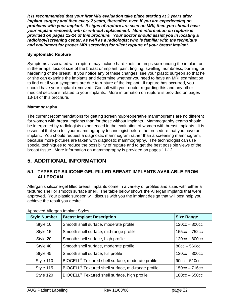*It is recommended that your first MRI evaluation take place starting at 3 years after implant surgery and then every 2 years, thereafter, even if you are experiencing no problems with your implant. If signs of rupture are seen on MRI, then you should have your implant removed, with or without replacement. More information on rupture is provided on pages 13-14 of this brochure. Your doctor should assist you in locating a radiology/screening center, as well as a radiologist who is familiar with the technique and equipment for proper MRI screening for silent rupture of your breast implant.* 

### **Symptomatic Rupture**

Symptoms associated with rupture may include hard knots or lumps surrounding the implant or in the armpit, loss of size of the breast or implant, pain, tingling, swelling, numbness, burning, or hardening of the breast. If you notice any of these changes, see your plastic surgeon so that he or she can examine the implants and determine whether you need to have an MRI examination to find out if your symptoms are due to rupture of the implant. If rupture has occurred, you should have your implant removed. Consult with your doctor regarding this and any other medical decisions related to your implants. More information on rupture is provided on pages 13-14 of this brochure.

### **Mammography**

The current recommendations for getting screening/preoperative mammograms are no different for women with breast implants than for those without implants. Mammography exams should be interpreted by radiologists experienced in the evaluation of women with breast implants. It is essential that you tell your mammography technologist before the procedure that you have an implant. You should request a diagnostic mammogram rather than a screening mammogram, because more pictures are taken with diagnostic mammography. The technologist can use special techniques to reduce the possibility of rupture and to get the best possible views of the breast tissue. More information on mammography is provided on pages 11-12.

# **5. ADDITIONAL INFORMATION**

### **5.1 TYPES OF SILICONE GEL-FILLED BREAST IMPLANTS AVAILABLE FROM ALLERGAN**

Allergan's silicone-gel filled breast implants come in a variety of profiles and sizes with either a textured shell or smooth surface shell. The table below shows the Allergan implants that were approved. Your plastic surgeon will discuss with you the implant design that will best help you achieve the result you desire.

| <b>Style Number</b> | <b>Breast Implant Description</b>                              | <b>Size Range</b> |
|---------------------|----------------------------------------------------------------|-------------------|
| Style 10            | Smooth shell surface, moderate profile                         | $120cc - 800cc$   |
| Style 15            | Smooth shell surface, mid-range profile                        | $155cc - 752cc$   |
| Style 20            | Smooth shell surface, high profile                             | $120cc - 800cc$   |
| Style 40            | Smooth shell surface, moderate profile                         | $80cc - 560cc$    |
| Style 45            | Smooth shell surface, full profile                             | $120cc - 800cc$   |
| Style 110           | BIOCELL <sup>®</sup> Textured shell surface, moderate profile  | $90cc - 510cc$    |
| Style 115           | BIOCELL <sup>®</sup> Textured shell surface, mid-range profile | $150cc - 716cc$   |
| Style 120           | BIOCELL <sup>®</sup> Textured shell surface, high profile      | $180cc - 650cc$   |

Approved Allergan Implant Styles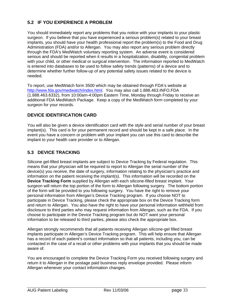### **5.2 IF YOU EXPERIENCE A PROBLEM**

You should immediately report any problems that you notice with your implants to your plastic surgeon. If you believe that you have experienced a serious problem(s) related to your breast implants, you should have your health professional report the problem(s) to the Food and Drug Administration (FDA) and/or to Allergan. You may also report any serious problem directly through the FDA's MedWatch voluntary reporting system. An adverse event is considered serious and should be reported when it results in a hospitalization, disability, congenital problem with your child, or other medical or surgical intervention. The information reported to MedWatch is entered into databases to be used to follow safety trends (patterns) of a device and to determine whether further follow-up of any potential safety issues related to the device is needed.

To report, use MedWatch form 3500 which may be obtained through FDA's website at [http://www.fda.gov/medwatch/index.html.](http://www.fda.gov/medwatch/index.html) You may also call 1.888.463.INFO.FDA (1.888.463.6332), from 10:00am-4:00pm Eastern Time, Monday through Friday to receive an additional FDA MedWatch Package. Keep a copy of the MedWatch form completed by your surgeon for your records.

### **DEVICE IDENTIFICATION CARD**

You will also be given a device identification card with the style and serial number of your breast implant(s). This card is for your permanent record and should be kept in a safe place. In the event you have a concern or problem with your implant you can use this card to describe the implant to your health care provider or to Allergan.

### **5.3 DEVICE TRACKING**

Silicone gel-filled breast implants are subject to Device Tracking by Federal regulation. This means that your physician will be required to report to Allergan the serial number of the device(s) you receive, the date of surgery, information relating to the physician's practice and information on the patient receiving the implant(s). This information will be recorded on the **Device Tracking Form** supplied by Allergan with each silicone-filled breast implant. Your surgeon will return the top portion of the form to Allergan following surgery. The bottom portion of the form will be provided to you following surgery. You have the right to remove your personal information from Allergan's Device Tracking program. If you choose NOT to participate in Device Tracking, please check the appropriate box on the Device Tracking form and return to Allergan. You also have the right to have your personal information withheld from disclosure to third parties who may request information from Allergan, such as the FDA. If you choose to participate in the Device Tracking program but do NOT want your personal information to be released to third parties, please also check the appropriate box.

Allergan strongly recommends that all patients receiving Allergan silicone-gel filled breast implants participate in Allergan's Device Tracking program. This will help ensure that Allergan has a record of each patient's contact information so that all patients, including you, can be contacted in the case of a recall or other problems with your implants that you should be made aware of.

You are encouraged to complete the Device Tracking Form you received following surgery and return it to Allergan in the postage paid business reply envelope provided. Please inform Allergan whenever your contact information changes.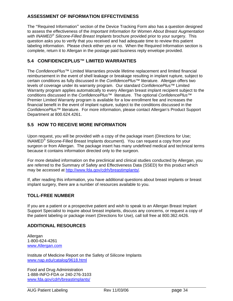### **ASSESSMENT OF INFORMATION EFFECTIVENESS**

The "Required Information" section of the Device Tracking Form also has a question designed to assess the effectiveness of the *Important Information for Women About Breast Augmentation with INAMED® Silicone-Filled Breast Implants* brochure provided prior to your surgery. This question asks you to verify that you received and had adequate time to review this patient labeling information. Please check either yes or no. When the Required Information section is complete, return it to Allergan in the postage paid business reply envelope provided.

### **5.4 CONFIDENCEPLUS™ LIMITED WARRANTIES**

The *ConfidencePlus*™ Limited Warranties provide lifetime replacement and limited financial reimbursement in the event of shell leakage or breakage resulting in implant rupture, subject to certain conditions as fully discussed in the *ConfidencePlus*™ literature. Allergan offers two levels of coverage under its warranty program. Our standard *ConfidencePlus*™ Limited Warranty program applies automatically to every Allergan breast implant recipient subject to the conditions discussed in the *ConfidencePlus*™ literature. The optional *ConfidencePlus*™ Premier Limited Warranty program is available for a low enrollment fee and increases the financial benefit in the event of implant rupture, subject to the conditions discussed in the *ConfidencePlus*™ literature. For more information, please contact Allergan's Product Support Department at 800.624.4261.

### **5.5 HOW TO RECEIVE MORE INFORMATION**

Upon request, you will be provided with a copy of the package insert (Directions for Use; INAMED® Silicone-Filled Breast Implants document). You can request a copy from your surgeon or from Allergan. The package insert has many undefined medical and technical terms because it contains information directed only to the surgeon.

For more detailed information on the preclinical and clinical studies conducted by Allergan, you are referred to the Summary of Safety and Effectiveness Data (SSED) for this product which may be accessed at [http://www.fda.gov/cdrh/breastimplants/.](http://www.fda.gov/cdrh/breastimplants/)

If, after reading this information, you have additional questions about breast implants or breast implant surgery, there are a number of resources available to you.

### **TOLL-FREE NUMBER**

If you are a patient or a prospective patient and wish to speak to an Allergan Breast Implant Support Specialist to inquire about breast implants, discuss any concerns, or request a copy of the patient labeling or package insert (Directions for Use), call toll free at 800.362.4426.

### **ADDITIONAL RESOURCES**

Allergan 1-800-624-4261 [www.Allergan.com](http://www.inamedaesthetics.com/)

Institute of Medicine Report on the Safety of Silicone Implants [www.nap.edu/catalog/9618.html](http://www.nap.edu/catalog/9618.html)

Food and Drug Administration 1-888-INFO-FDA or 240-276-3103 [www.fda.gov/cdrh/breastimplants/](http://www.fda.gov/cdrh/breastimplants/)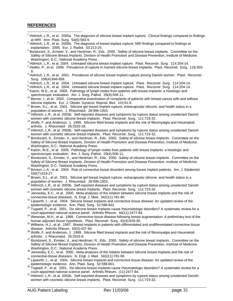### **REFERENCES**

 $\overline{a}$ 

- $1$  Hölmich, L.R., et al. 2005a. The diagnosis of silicone breast implant rupture. Clinical findings compared to findings
- at MRI. Ann. Plast. Surg. 54(6):583-9.<br><sup>2</sup> Hölmich, L.R., et al. 2005b. The diagnosis of breast implant rupture: MRI findings compared to findings at
- explantation. 2005. Eur. J. Radiol. 53:213-25.<br><sup>3</sup> Bondurant, S., Ernster, V., and Herdman, R., Eds. 2000. Safety of silicone breast implants. Committee on the Safety of Silicone Breast Implants, Division of Health Promotion and Disease Prevention, Institute of Medicine. Washington, D.C.: National Academy Press.
- 4 Hölmich, L.R., et al. 2004. Untreated silicone breast implant rupture. Plast. Reconstr. Surg. 114:204-14.
- <sup>5</sup> Hedén. P., et al. 2006. Prevalence of rupture in Inamed silicone breast implants. Plast. Reconstr. Surg. 118:303-
- 8.<br><sup>6</sup> Holmich, L.R., et al. 2001. Prevalence of silicone breast implant rupture among Danish women. Plast. Reconstr. Surg. 108(4):848-858.
- $^7$  Hölmich, L.R., et al. 2004. Untreated silicone breast implant rupture. Plast. Reconstr. Surg. 114:204-14.
- <sup>8</sup> Hölmich, L.R., et al. 2004. Untreated silicone breast implant rupture. Plast. Reconstr. Surg. 114:204-14.
- $9$  Katzin, W.E., et al. 2005. Pathology of lymph nodes from patients with breast implants: a histologic and spectroscopic evaluation. Am. J. Surg. Pathol.  $29(4):506-11$ .
- 10 Berner, I., et al. 2002. Comparative examination of complaints of patients with breast-cancer with and without silicone implants. Eur. J. Obstet. Gynecol. Reprod. Biol. 102:61-6.
- <sup>11</sup> Brown, S.L., et al. 2001. Silicone gel breast implant rupture, extracapsular silicone, and health status in a population of women. J. Rheumatol. 28:996-1003.
- 12 Hölmich, L.R., et al. 2003b. Self-reported diseases and symptoms by rupture status among unselected Danish<br>women with cosmetic silicone breast implants. Plast. Reconstr. Surg. 111:723-32.
- <sup>13</sup> Wolfe, F. and Anderson, J. 1999. Silicone filled breast implants and the risk of fibromyalgia and rheumatoid
- arthritis. J. Rheumatol. 26:2025-28.<br><sup>14</sup> Hölmich, L.R., et al. 2003b. Self-reported diseases and symptoms by rupture status among unselected Danish<br>women with cosmetic silicone breast implants. Plast. Reconstr. Surg. 111:
- 15 Bondurant, S., Ernster, V., and Herdman, R., Eds. 2000. Safety of silicone breast implants. Committee on the Safety of Silicone Breast Implants, Division of Health Promotion and Disease Prevention, Institute of Medicine.
- Washington, D.C.: National Academy Press.<br><sup>16</sup> Katzin, W.E., et al. 2005. Pathology of lymph nodes from patients with breast implants: a histologic and<br>spectroscopic evaluation. Am. J. Surg. Pathol. 29(4):506-11.
- 17 Bondurant, S., Ernster, V., and Herdman, R., Eds. 2000. Safety of silicone breast implants. Committee on the Safety of Silicone Breast Implants, Division of Health Promotion and Disease Prevention, Institute of Medicine.
- Washington, D.C.: National Academy Press.<br><sup>18</sup> Brinton, L.A., et al. 2004. Risk of connective tissue disorders among breast implant patients. Am. J. Epidemiol.
- 160(7):619-27.<br><sup>19</sup> Brown, S.L., et al. 2001. Silicone gel breast implant rupture, extracapsular silicone, and health status in a
- population of women. J. Rheumatol. 28:996-1003.<br><sup>20</sup> Hölmich, L.R., et al. 2003b. Self-reported diseases and symptoms by rupture status among unselected Danish<br>women with cosmetic silicone breast implants. Plast. Reconstr.
- <sup>21</sup> Janowsky, E.C., et al. 2000. Meta-analyses of the relation between silicone breast implants and the risk of connective-tissue diseases. N. Engl. J. Med. 342(11):781-90.
- connective-tissue diseases. N. Engl. J. Med. 342(11): 21 Lipworth, L., et al. 2004. Silicone breast implants and connective tissue disease: An updated review of the epidemiologic evidence. Ann. Plast. Surg. 52:598-601.
- epidemiologic evidence. Ann. Plast. Surg. Surg. 52:59. 2012.<br>Tugwell, P., et al. 2001. Do silicone breast implants cause rheumatologic disorders? A systematic review for a<br>court-appointed national science panel. Arthritis
- <sup>24</sup> Weisman, M.H., et al. 1988. Connective-tissue disease following breast augmentation: A preliminary test of the<br>human adjuvant tissue hypothesis. Plast. Reconstr. Surg. 82(4):626-30.
- human adjuvant tissue hypothesis. Plast. Reconstr. Surg. 82(4):626-30. 26<br><sup>25</sup> Williams, H.J., et al. 1997. Breast implants in patients with differentiated and undifferentiated connective tissue<br>disease. Arthritis Rheum. 4
- arthritis. Arthritis Rheumatol, J. 1999. Silicone filled breast implants and the risk of fibromyalgia and rheumatoid<br>arthritis. J. Rheumatol. 26:2025-8.
- 27 Bondurant, S., Ernster, V., and Herdman, R., Eds. 2000. Safety of silicone breast implants. Committee on the Safety of Silicone Breast Implants, Division of Health Promotion and Disease Prevention, Institute of Medicine.
- Washington, D.C.: National Academy Press.<br><sup>28</sup> Janowsky, E.C., et al. 2000. Meta-analyses of the relation between silicone breast implants and the risk of connective-tissue diseases. N. Engl. J. Med. 342(11):781-90.
- 29 Lipworth, L., et al. 2004. Silicone breast implants and connective tissue disease: An updated review of the
- epidemiologic evidence. Ann. Plast. Surg. 52:598-601.<br><sup>30</sup> Tugwell, P., et al. 2001. Do silicone breast implants cause rheumatologic disorders? A systematic review for a<br>court-appointed national science panel. Arthritis Rh
- $31$  Hölmich, L.R., et al. 2003b. Self-reported diseases and symptoms by rupture status among unselected Danish women with cosmetic silicone breast implants. Plast. Reconstr. Surg. 111:723-32.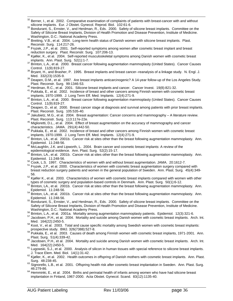- $32$  Berner, I., et al. 2002. Comparative examination of complaints of patients with breast-cancer with and without silicone implants. Eur. J Obstet. Gynecol. Reprod. Biol. 102:61-6.
- 33 Bondurant, S., Ernster, V., and Herdman, R., Eds. 2000. Safety of silicone breast implants. Committee on the Safety of Silicone Breast Implants, Division of Health Promotion and Disease Prevention, Institute of Medicine.<br>Washington, D.C.: National Academy Press.
- Washington, D.C.: National Academy Press.<br><sup>34</sup> Breiting, V.B., et al. 2004. Long-term health status of Danish women with silicone breast implants. Plast.<br>Reconstr. Surg. 114:217-26.
- Reconstr. Surg. 11.12.17-25.<br><sup>35</sup> Fryzek, J.P., et al. 2001. Self-reported symptoms among women after cosmetic breast implant and breast reduction surgery. Plast. Reconstr. Surg. 107:206-13.
- <sup>36</sup> Kjøller, K., et al. 2004. Self-reported musculoskeletal symptoms among Danish women with cosmetic breast<br>implants. Ann. Plast. Surg. 52(1):1-7.
- implants. Ann. Plast. Surg. 52(1):1-7. 37 Brinton, L.A., et al. 2000. Breast cancer following augmentation mammoplasty (United States). Cancer Causes
- Control. 11(9):819-27.<br><sup>38</sup> Bryant, H., and Brasher, P. 1995. Breast implants and breast cancer--reanalysis of a linkage study. N. Engl. J.<br>Med. 332(23):1535-9.
- Med. 332(23):1535-9.<br>Beapen, D.M., et al. 1997. Are breast implants anticarcinogenic? A 14-year follow-up of the Los Angeles Study.<br>Plast. Reconstr. Surg. 99:1346-53.
- 
- <sup>40</sup> Herdman, R.C., et al. 2001. Silicone breast implants and cancer. Cancer Invest. 19(8):821-32.<br><sup>41</sup> Pukkala, E., et al. 2002. Incidence of breast and other cancers among Finnish women with cosmetic breast implants, 19
- <sup>42</sup> Brinton, L.A., et al. 2000. Breast cancer following augmentation mammoplasty (United States). Cancer Causes Control. 11(9):819-27.<br><sup>43</sup> Deapen, D., et al. 2000. Breast cancer stage at diagnosis and survival among patients with prior breast implants.
- 
- Plast. Reconstr. Surg. 105:535-40.<br><sup>44</sup> Jakubietz, M.G., et al. 2004. Breast augmentation: Cancer concerns and mammography A literature review. Plast. Reconstr. Surg. 113:117e-22e.<br><sup>45</sup> Miglioretti, D.L., et al. 2004. Effect of breast augmentation on the accuracy of mammography and cancer
- 
- characteristics. JAMA. 291(4):442-50.<br><sup>46</sup> Pukkala, E., et al. 2002. Incidence of breast and other cancers among Finnish women with cosmetic breast implants, 1970-1999. J. Long Term Eff. Med. Implants. 12(4):271-9.
- <sup>47</sup> Brinton, LA., et al. 2001b. Cancer risk at sites other than the breast following augmentation mammoplasty. Ann.
- Epidemiol. 11:248-56.<br><sup>48</sup> McLaughlin, J.K. and Lipworth, L. 2004. Brain cancer and cosmetic breast implants: A review of the<br>epidemiological evidence. Ann. Plast. Surg. 52(2):15-17.
- 49 Brinton, LA., et al. 2001b. Cancer risk at sites other than the breast following augmentation mammoplasty. Ann. Epidemiol. 11:248-56.<br><sup>50</sup> Cook, L.S. 1997. Characteristics of women with and without breast augmentation. JAMA. 20:1612-7.<br><sup>51</sup> Frvzek, J.P., et al. 2000. Characteristics of women with cosmetic breast augmentation surgery
- 
- breast reduction surgery patients and women in the general population of Sweden. Ann. Plast. Surg. 45(4):349-
- 56.<br><sup>52</sup> Kjøller K., et al. 2003. Characteristics of women with cosmetic breast implants compared with women with other<br>1976 types of cosmetic surgery and population-based controls in Denmark. Ann. Plast. Surg. 50(1):6-12
- the surface of controls of grid properties in Present controls in Denmark. But the surgery controls in Denmark<br>Brinton, LA., et al. 2001b. Cancer risk at sites other than the breast following augmentation mammoplasty. Ann
- Epidemion, LA., et al. 2001b. Cancer risk at sites other than the breast following augmentation mammoplasty. Ann.<br>Epidemiol. 11:248-56.
- <sup>55</sup> Bondurant, S., Ernster, V., and Herdman, R., Eds. 2000. Safety of silicone breast implants. Committee on the Safety of Silicone Breast Implants, Division of Health Promotion and Disease Prevention, Institute of Medicine.<br>Washington, D.C.: National Academy Press.
- 
- <sup>56</sup> Brinton, L.A., et al. 2001a. Mortality among augmentation mammoplasty patients. Epidemiol. 12(3):321-6.<br><sup>57</sup> Jacobsen, P.H., et al. 2004. Mortality and suicide among Danish women with cosmetic breast implants. Arch. I
- Med. 164(22):2450-5.<br><sup>58</sup> Koot, V., et al. 2003. Total and cause specific mortality among Swedish women with cosmetic breast implants:
- prospective study. BMJ. 326(7388):527-8.<br><sup>59</sup> Pukkala, E., et al. 2003. Causes of death among Finnish women with cosmetic breast implants, 1971-2001. Ann.<br>[188] Plast. Surg. 51(4):339-42.
- <sup>60</sup> Jacobsen, P.H., et al. 2004. Mortality and suicide among Danish women with cosmetic breast implants. Arch. Int.
- Med.  $164(22)$ :2450-5.<br><sup>61</sup> Lugowski, S.J., et al. 2000. Analysis of silicon in human tissues with special reference to silicone breast implants. J. Trace Elem. Med. Biol. 14(1):31-42. 62 Kjøller, K., et al. 2002. Health outcomes in offspring of Danish mothers with cosmetic breast implants. Ann. Plast.
- 
- Surg. 48:238-45.<br><sup>63</sup> Signorello, L.B., et al. 2001. Offspring health risk after cosmetic breast implantation in Sweden. Ann. Plast. Surg.
- $^{64}$  Hemminki, E., et al. 2004. Births and perinatal health of infants among women who have had silicone breast implantation in Finland, 1967-2000. Acta Obstet. Gynecol. Scand. 83(12):1135-40.